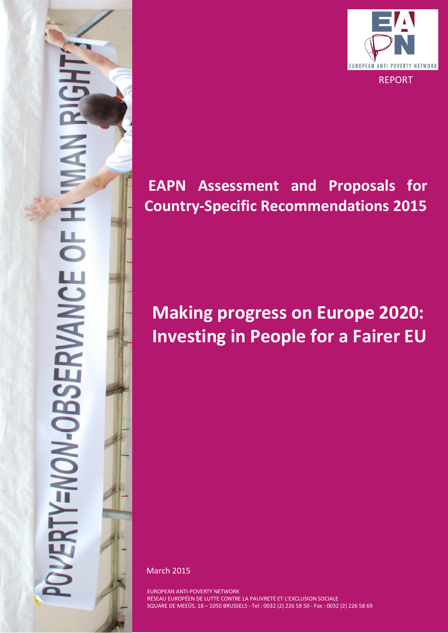

# **EAPN Assessment and Proposals for Country-Specific Recommendations 2015**

# **Making progress on Europe 2020: Investing in People for a Fairer EU**

March 2015

ERTY=NON-OBSERVANCE OF H

EUROPEAN ANTI-POVERTY NETWORK RÉSEAU EUROPÉEN DE LUTTE CONTRE LA PAUVRETÉ ET L'EXCLUSION SOCIALE SQUARE DE MEEÛS, 18 – 1050 BRUSSELS - Tel : 0032 (2) 226 58 50 - Fax : 0032 (2) 226 58 69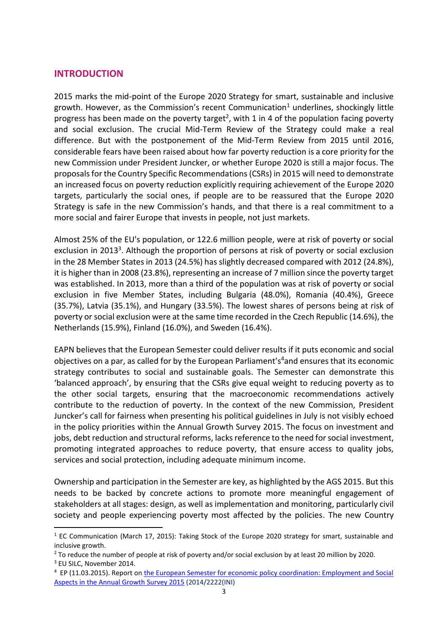# **INTRODUCTION**

2015 marks the mid-point of the Europe 2020 Strategy for smart, sustainable and inclusive growth. However, as the Commission's recent Communication<sup>1</sup> underlines, shockingly little progress has been made on the poverty target<sup>2</sup>, with 1 in 4 of the population facing poverty and social exclusion. The crucial Mid-Term Review of the Strategy could make a real difference. But with the postponement of the Mid-Term Review from 2015 until 2016, considerable fears have been raised about how far poverty reduction is a core priority for the new Commission under President Juncker, or whether Europe 2020 is still a major focus. The proposals for the Country Specific Recommendations (CSRs) in 2015 will need to demonstrate an increased focus on poverty reduction explicitly requiring achievement of the Europe 2020 targets, particularly the social ones, if people are to be reassured that the Europe 2020 Strategy is safe in the new Commission's hands, and that there is a real commitment to a more social and fairer Europe that invests in people, not just markets.

Almost 25% of the EU's population, or 122.6 million people, were at risk of poverty or social exclusion in 2013<sup>3</sup>. Although the proportion of persons at risk of poverty or social exclusion in the 28 Member States in 2013 (24.5%) has slightly decreased compared with 2012 (24.8%), it is higher than in 2008 (23.8%), representing an increase of 7 million since the poverty target was established. In 2013, more than a third of the population was at risk of poverty or social exclusion in five Member States, including Bulgaria (48.0%), Romania (40.4%), Greece (35.7%), Latvia (35.1%), and Hungary (33.5%). The lowest shares of persons being at risk of poverty or social exclusion were at the same time recorded in the Czech Republic (14.6%), the Netherlands (15.9%), Finland (16.0%), and Sweden (16.4%).

EAPN believes that the European Semester could deliver results if it puts economic and social objectives on a par, as called for by the European Parliament's<sup>4</sup>and ensures that its economic strategy contributes to social and sustainable goals. The Semester can demonstrate this 'balanced approach', by ensuring that the CSRs give equal weight to reducing poverty as to the other social targets, ensuring that the macroeconomic recommendations actively contribute to the reduction of poverty. In the context of the new Commission, President Juncker's call for fairness when presenting his political guidelines in July is not visibly echoed in the policy priorities within the Annual Growth Survey 2015. The focus on investment and jobs, debt reduction and structural reforms, lacks reference to the need for social investment, promoting integrated approaches to reduce poverty, that ensure access to quality jobs, services and social protection, including adequate minimum income.

Ownership and participation in the Semester are key, as highlighted by the AGS 2015. But this needs to be backed by concrete actions to promote more meaningful engagement of stakeholders at all stages: design, as well as implementation and monitoring, particularly civil society and people experiencing poverty most affected by the policies. The new Country

**.** 

<sup>&</sup>lt;sup>1</sup> EC Communication (March 17, 2015): Taking Stock of the Europe 2020 strategy for smart, sustainable and inclusive growth.

<sup>&</sup>lt;sup>2</sup> To reduce the number of people at risk of poverty and/or social exclusion by at least 20 million by 2020.

<sup>3</sup> EU SILC, November 2014.

<sup>&</sup>lt;sup>4</sup> EP (11.03.2015). Report on the European Semester for economic policy coordination: Employment and Social [Aspects in the Annual Growth Survey 2015](http://www.europarl.europa.eu/sides/getDoc.do?type=TA&reference=P8-TA-2015-0068&language=EN&ring=A8-2015-0043) (2014/2222(INI)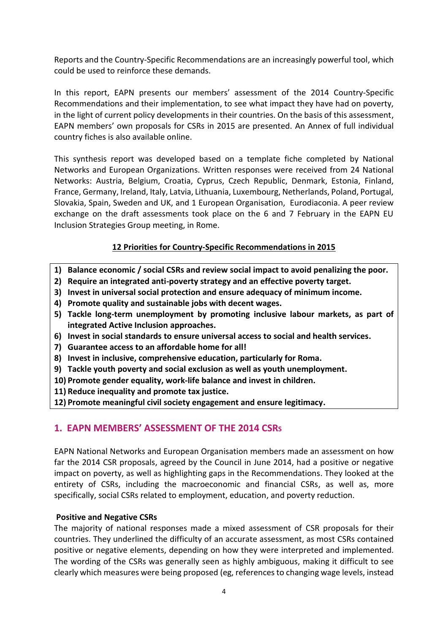Reports and the Country-Specific Recommendations are an increasingly powerful tool, which could be used to reinforce these demands.

In this report, EAPN presents our members' assessment of the 2014 Country-Specific Recommendations and their implementation, to see what impact they have had on poverty, in the light of current policy developments in their countries. On the basis of this assessment, EAPN members' own proposals for CSRs in 2015 are presented. An Annex of full individual country fiches is also available online.

This synthesis report was developed based on a template fiche completed by National Networks and European Organizations. Written responses were received from 24 National Networks: Austria, Belgium, Croatia, Cyprus, Czech Republic, Denmark, Estonia, Finland, France, Germany, Ireland, Italy, Latvia, Lithuania, Luxembourg, Netherlands, Poland, Portugal, Slovakia, Spain, Sweden and UK, and 1 European Organisation, Eurodiaconia. A peer review exchange on the draft assessments took place on the 6 and 7 February in the EAPN EU Inclusion Strategies Group meeting, in Rome.

# **12 Priorities for Country-Specific Recommendations in 2015**

- **1) Balance economic / social CSRs and review social impact to avoid penalizing the poor.**
- **2) Require an integrated anti-poverty strategy and an effective poverty target.**
- **3) Invest in universal social protection and ensure adequacy of minimum income.**
- **4) Promote quality and sustainable jobs with decent wages.**
- **5) Tackle long-term unemployment by promoting inclusive labour markets, as part of integrated Active Inclusion approaches.**
- **6) Invest in social standards to ensure universal access to social and health services.**
- **7) Guarantee access to an affordable home for all!**
- **8) Invest in inclusive, comprehensive education, particularly for Roma.**
- **9) Tackle youth poverty and social exclusion as well as youth unemployment.**
- **10) Promote gender equality, work-life balance and invest in children.**
- **11) Reduce inequality and promote tax justice.**
- **12) Promote meaningful civil society engagement and ensure legitimacy.**

# **1. EAPN MEMBERS' ASSESSMENT OF THE 2014 CSRS**

EAPN National Networks and European Organisation members made an assessment on how far the 2014 CSR proposals, agreed by the Council in June 2014, had a positive or negative impact on poverty, as well as highlighting gaps in the Recommendations. They looked at the entirety of CSRs, including the macroeconomic and financial CSRs, as well as, more specifically, social CSRs related to employment, education, and poverty reduction.

#### **Positive and Negative CSRs**

The majority of national responses made a mixed assessment of CSR proposals for their countries. They underlined the difficulty of an accurate assessment, as most CSRs contained positive or negative elements, depending on how they were interpreted and implemented. The wording of the CSRs was generally seen as highly ambiguous, making it difficult to see clearly which measures were being proposed (eg, references to changing wage levels, instead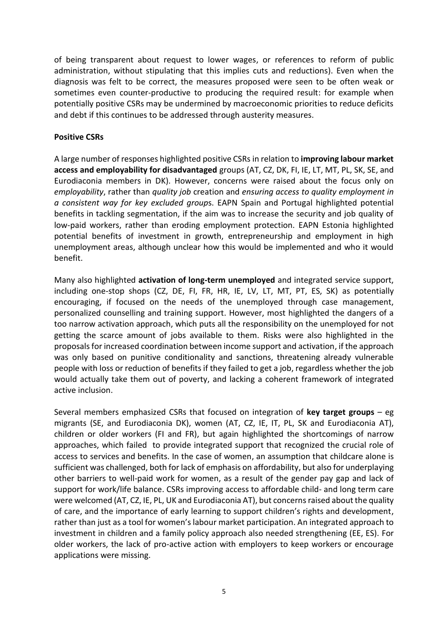of being transparent about request to lower wages, or references to reform of public administration, without stipulating that this implies cuts and reductions). Even when the diagnosis was felt to be correct, the measures proposed were seen to be often weak or sometimes even counter-productive to producing the required result: for example when potentially positive CSRs may be undermined by macroeconomic priorities to reduce deficits and debt if this continues to be addressed through austerity measures.

#### **Positive CSRs**

A large number of responses highlighted positive CSRs in relation to **improving labour market access and employability for disadvantaged** groups (AT, CZ, DK, FI, IE, LT, MT, PL, SK, SE, and Eurodiaconia members in DK). However, concerns were raised about the focus only on *employability*, rather than *quality job* creation and *ensuring access to quality employment in a consistent way for key excluded group*s. EAPN Spain and Portugal highlighted potential benefits in tackling segmentation, if the aim was to increase the security and job quality of low-paid workers, rather than eroding employment protection. EAPN Estonia highlighted potential benefits of investment in growth, entrepreneurship and employment in high unemployment areas, although unclear how this would be implemented and who it would benefit.

Many also highlighted **activation of long-term unemployed** and integrated service support, including one-stop shops (CZ, DE, FI, FR, HR, IE, LV, LT, MT, PT, ES, SK) as potentially encouraging, if focused on the needs of the unemployed through case management, personalized counselling and training support. However, most highlighted the dangers of a too narrow activation approach, which puts all the responsibility on the unemployed for not getting the scarce amount of jobs available to them. Risks were also highlighted in the proposals for increased coordination between income support and activation, if the approach was only based on punitive conditionality and sanctions, threatening already vulnerable people with loss or reduction of benefits if they failed to get a job, regardless whether the job would actually take them out of poverty, and lacking a coherent framework of integrated active inclusion.

Several members emphasized CSRs that focused on integration of **key target groups** – eg migrants (SE, and Eurodiaconia DK), women (AT, CZ, IE, IT, PL, SK and Eurodiaconia AT), children or older workers (FI and FR), but again highlighted the shortcomings of narrow approaches, which failed to provide integrated support that recognized the crucial role of access to services and benefits. In the case of women, an assumption that childcare alone is sufficient was challenged, both for lack of emphasis on affordability, but also for underplaying other barriers to well-paid work for women, as a result of the gender pay gap and lack of support for work/life balance. CSRs improving access to affordable child- and long term care were welcomed (AT, CZ, IE, PL, UK and Eurodiaconia AT), but concerns raised about the quality of care, and the importance of early learning to support children's rights and development, rather than just as a tool for women's labour market participation. An integrated approach to investment in children and a family policy approach also needed strengthening (EE, ES). For older workers, the lack of pro-active action with employers to keep workers or encourage applications were missing.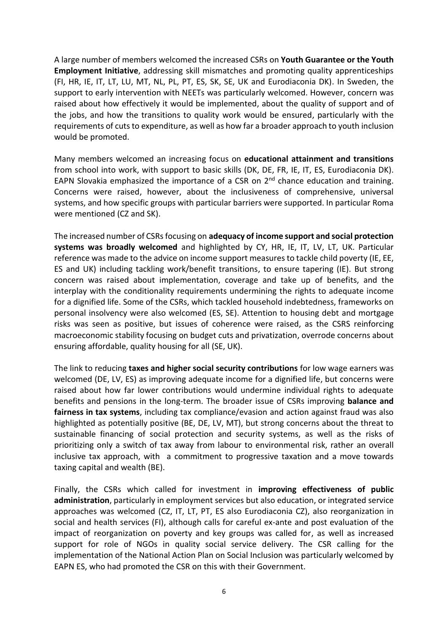A large number of members welcomed the increased CSRs on **Youth Guarantee or the Youth Employment Initiative**, addressing skill mismatches and promoting quality apprenticeships (FI, HR, IE, IT, LT, LU, MT, NL, PL, PT, ES, SK, SE, UK and Eurodiaconia DK). In Sweden, the support to early intervention with NEETs was particularly welcomed. However, concern was raised about how effectively it would be implemented, about the quality of support and of the jobs, and how the transitions to quality work would be ensured, particularly with the requirements of cuts to expenditure, as well as how far a broader approach to youth inclusion would be promoted.

Many members welcomed an increasing focus on **educational attainment and transitions** from school into work, with support to basic skills (DK, DE, FR, IE, IT, ES, Eurodiaconia DK). EAPN Slovakia emphasized the importance of a CSR on  $2<sup>nd</sup>$  chance education and training. Concerns were raised, however, about the inclusiveness of comprehensive, universal systems, and how specific groups with particular barriers were supported. In particular Roma were mentioned (CZ and SK).

The increased number of CSRs focusing on **adequacy of income support and social protection systems was broadly welcomed** and highlighted by CY, HR, IE, IT, LV, LT, UK. Particular reference was made to the advice on income support measures to tackle child poverty (IE, EE, ES and UK) including tackling work/benefit transitions, to ensure tapering (IE). But strong concern was raised about implementation, coverage and take up of benefits, and the interplay with the conditionality requirements undermining the rights to adequate income for a dignified life. Some of the CSRs, which tackled household indebtedness, frameworks on personal insolvency were also welcomed (ES, SE). Attention to housing debt and mortgage risks was seen as positive, but issues of coherence were raised, as the CSRS reinforcing macroeconomic stability focusing on budget cuts and privatization, overrode concerns about ensuring affordable, quality housing for all (SE, UK).

The link to reducing **taxes and higher social security contributions** for low wage earners was welcomed (DE, LV, ES) as improving adequate income for a dignified life, but concerns were raised about how far lower contributions would undermine individual rights to adequate benefits and pensions in the long-term. The broader issue of CSRs improving **balance and fairness in tax systems**, including tax compliance/evasion and action against fraud was also highlighted as potentially positive (BE, DE, LV, MT), but strong concerns about the threat to sustainable financing of social protection and security systems, as well as the risks of prioritizing only a switch of tax away from labour to environmental risk, rather an overall inclusive tax approach, with a commitment to progressive taxation and a move towards taxing capital and wealth (BE).

Finally, the CSRs which called for investment in **improving effectiveness of public administration**, particularly in employment services but also education, or integrated service approaches was welcomed (CZ, IT, LT, PT, ES also Eurodiaconia CZ), also reorganization in social and health services (FI), although calls for careful ex-ante and post evaluation of the impact of reorganization on poverty and key groups was called for, as well as increased support for role of NGOs in quality social service delivery. The CSR calling for the implementation of the National Action Plan on Social Inclusion was particularly welcomed by EAPN ES, who had promoted the CSR on this with their Government.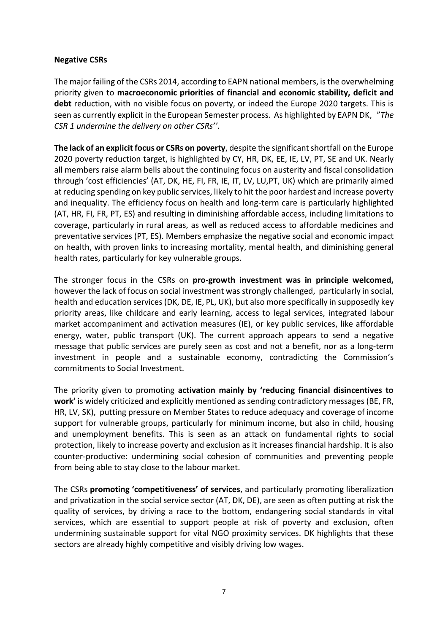#### **Negative CSRs**

The major failing of the CSRs 2014, according to EAPN national members, is the overwhelming priority given to **macroeconomic priorities of financial and economic stability, deficit and debt** reduction, with no visible focus on poverty, or indeed the Europe 2020 targets. This is seen as currently explicit in the European Semester process. As highlighted by EAPN DK, "*The CSR 1 undermine the delivery on other CSRs''*.

**The lack of an explicit focus or CSRs on poverty**, despite the significant shortfall on the Europe 2020 poverty reduction target, is highlighted by CY, HR, DK, EE, IE, LV, PT, SE and UK. Nearly all members raise alarm bells about the continuing focus on austerity and fiscal consolidation through 'cost efficiencies' (AT, DK, HE, FI, FR, IE, IT, LV, LU,PT, UK) which are primarily aimed at reducing spending on key public services, likely to hit the poor hardest and increase poverty and inequality. The efficiency focus on health and long-term care is particularly highlighted (AT, HR, FI, FR, PT, ES) and resulting in diminishing affordable access, including limitations to coverage, particularly in rural areas, as well as reduced access to affordable medicines and preventative services (PT, ES). Members emphasize the negative social and economic impact on health, with proven links to increasing mortality, mental health, and diminishing general health rates, particularly for key vulnerable groups.

The stronger focus in the CSRs on **pro-growth investment was in principle welcomed,**  however the lack of focus on social investment was strongly challenged, particularly in social, health and education services (DK, DE, IE, PL, UK), but also more specifically in supposedly key priority areas, like childcare and early learning, access to legal services, integrated labour market accompaniment and activation measures (IE), or key public services, like affordable energy, water, public transport (UK). The current approach appears to send a negative message that public services are purely seen as cost and not a benefit, nor as a long-term investment in people and a sustainable economy, contradicting the Commission's commitments to Social Investment.

The priority given to promoting **activation mainly by 'reducing financial disincentives to work'** is widely criticized and explicitly mentioned as sending contradictory messages (BE, FR, HR, LV, SK), putting pressure on Member States to reduce adequacy and coverage of income support for vulnerable groups, particularly for minimum income, but also in child, housing and unemployment benefits. This is seen as an attack on fundamental rights to social protection, likely to increase poverty and exclusion as it increases financial hardship. It is also counter-productive: undermining social cohesion of communities and preventing people from being able to stay close to the labour market.

The CSRs **promoting 'competitiveness' of services**, and particularly promoting liberalization and privatization in the social service sector (AT, DK, DE), are seen as often putting at risk the quality of services, by driving a race to the bottom, endangering social standards in vital services, which are essential to support people at risk of poverty and exclusion, often undermining sustainable support for vital NGO proximity services. DK highlights that these sectors are already highly competitive and visibly driving low wages.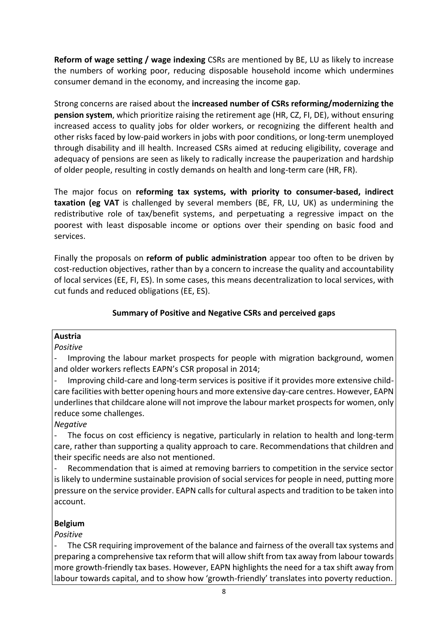**Reform of wage setting / wage indexing** CSRs are mentioned by BE, LU as likely to increase the numbers of working poor, reducing disposable household income which undermines consumer demand in the economy, and increasing the income gap.

Strong concerns are raised about the **increased number of CSRs reforming/modernizing the pension system**, which prioritize raising the retirement age (HR, CZ, FI, DE), without ensuring increased access to quality jobs for older workers, or recognizing the different health and other risks faced by low-paid workers in jobs with poor conditions, or long-term unemployed through disability and ill health. Increased CSRs aimed at reducing eligibility, coverage and adequacy of pensions are seen as likely to radically increase the pauperization and hardship of older people, resulting in costly demands on health and long-term care (HR, FR).

The major focus on **reforming tax systems, with priority to consumer-based, indirect taxation (eg VAT** is challenged by several members (BE, FR, LU, UK) as undermining the redistributive role of tax/benefit systems, and perpetuating a regressive impact on the poorest with least disposable income or options over their spending on basic food and services.

Finally the proposals on **reform of public administration** appear too often to be driven by cost-reduction objectives, rather than by a concern to increase the quality and accountability of local services (EE, FI, ES). In some cases, this means decentralization to local services, with cut funds and reduced obligations (EE, ES).

# **Summary of Positive and Negative CSRs and perceived gaps**

## **Austria**

#### *Positive*

Improving the labour market prospects for people with migration background, women and older workers reflects EAPN's CSR proposal in 2014;

- Improving child-care and long-term services is positive if it provides more extensive childcare facilities with better opening hours and more extensive day-care centres. However, EAPN underlines that childcare alone will not improve the labour market prospectsfor women, only reduce some challenges.

*Negative*

The focus on cost efficiency is negative, particularly in relation to health and long-term care, rather than supporting a quality approach to care. Recommendations that children and their specific needs are also not mentioned.

Recommendation that is aimed at removing barriers to competition in the service sector is likely to undermine sustainable provision of social services for people in need, putting more pressure on the service provider. EAPN callsfor cultural aspects and tradition to be taken into account.

# **Belgium**

*Positive*

The CSR requiring improvement of the balance and fairness of the overall tax systems and preparing a comprehensive tax reform that will allow shift from tax away from labour towards more growth-friendly tax bases. However, EAPN highlights the need for a tax shift away from labour towards capital, and to show how 'growth-friendly' translates into poverty reduction.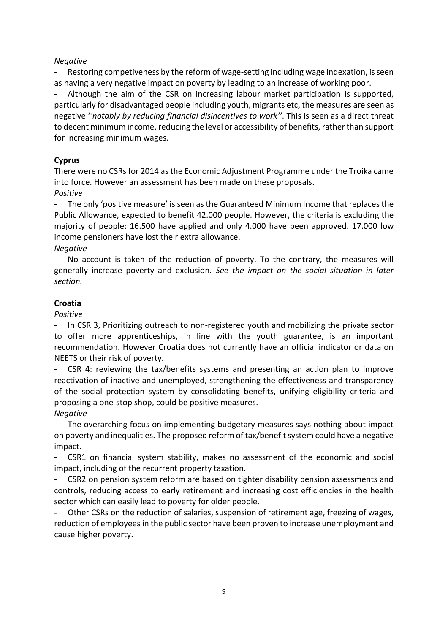# *Negative*

Restoring competiveness by the reform of wage-setting including wage indexation, is seen as having a very negative impact on poverty by leading to an increase of working poor.

Although the aim of the CSR on increasing labour market participation is supported, particularly for disadvantaged people including youth, migrants etc, the measures are seen as negative '*'notably by reducing financial disincentives to work''*. This is seen as a direct threat to decent minimum income, reducing the level or accessibility of benefits, rather than support for increasing minimum wages.

# **Cyprus**

There were no CSRs for 2014 as the Economic Adjustment Programme under the Troika came into force. However an assessment has been made on these proposals**.**

# *Positive*

The only 'positive measure' is seen as the Guaranteed Minimum Income that replaces the Public Allowance, expected to benefit 42.000 people. However, the criteria is excluding the majority of people: 16.500 have applied and only 4.000 have been approved. 17.000 low income pensioners have lost their extra allowance.

# *Negative*

No account is taken of the reduction of poverty. To the contrary, the measures will generally increase poverty and exclusion*. See the impact on the social situation in later section.*

# **Croatia**

*Positive*

In CSR 3, Prioritizing outreach to non-registered youth and mobilizing the private sector to offer more apprenticeships, in line with the youth guarantee, is an important recommendation. However Croatia does not currently have an official indicator or data on NEETS or their risk of poverty.

CSR 4: reviewing the tax/benefits systems and presenting an action plan to improve reactivation of inactive and unemployed, strengthening the effectiveness and transparency of the social protection system by consolidating benefits, unifying eligibility criteria and proposing a one-stop shop, could be positive measures.

# *Negative*

The overarching focus on implementing budgetary measures says nothing about impact on poverty and inequalities. The proposed reform of tax/benefit system could have a negative impact.

- CSR1 on financial system stability, makes no assessment of the economic and social impact, including of the recurrent property taxation.

CSR2 on pension system reform are based on tighter disability pension assessments and controls, reducing access to early retirement and increasing cost efficiencies in the health sector which can easily lead to poverty for older people.

Other CSRs on the reduction of salaries, suspension of retirement age, freezing of wages, reduction of employees in the public sector have been proven to increase unemployment and cause higher poverty.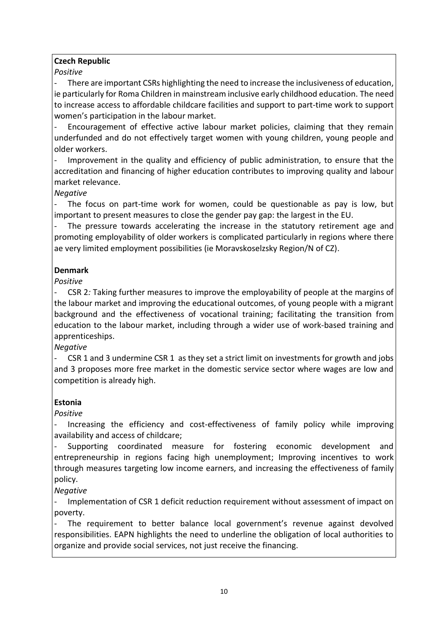# **Czech Republic**

*Positive*

There are important CSRs highlighting the need to increase the inclusiveness of education, ie particularly for Roma Children in mainstream inclusive early childhood education. The need to increase access to affordable childcare facilities and support to part-time work to support women's participation in the labour market.

Encouragement of effective active labour market policies, claiming that they remain underfunded and do not effectively target women with young children, young people and older workers.

Improvement in the quality and efficiency of public administration, to ensure that the accreditation and financing of higher education contributes to improving quality and labour market relevance.

# *Negative*

The focus on part-time work for women, could be questionable as pay is low, but important to present measures to close the gender pay gap: the largest in the EU.

The pressure towards accelerating the increase in the statutory retirement age and promoting employability of older workers is complicated particularly in regions where there ae very limited employment possibilities (ie Moravskoselzsky Region/N of CZ).

# **Denmark**

*Positive*

- CSR 2*:* Taking further measures to improve the employability of people at the margins of the labour market and improving the educational outcomes, of young people with a migrant background and the effectiveness of vocational training; facilitating the transition from education to the labour market, including through a wider use of work-based training and apprenticeships.

*Negative*

- CSR 1 and 3 undermine CSR 1 as they set a strict limit on investments for growth and jobs and 3 proposes more free market in the domestic service sector where wages are low and competition is already high.

# **Estonia**

*Positive*

- Increasing the efficiency and cost-effectiveness of family policy while improving availability and access of childcare;

- Supporting coordinated measure for fostering economic development and entrepreneurship in regions facing high unemployment; Improving incentives to work through measures targeting low income earners, and increasing the effectiveness of family policy.

*Negative*

Implementation of CSR 1 deficit reduction requirement without assessment of impact on poverty.

The requirement to better balance local government's revenue against devolved responsibilities. EAPN highlights the need to underline the obligation of local authorities to organize and provide social services, not just receive the financing.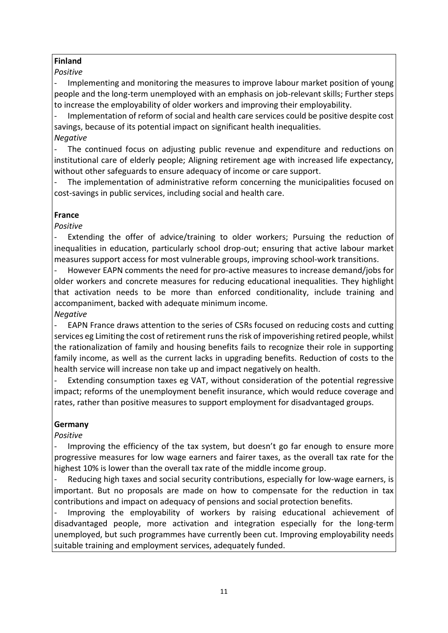# **Finland**

# *Positive*

- Implementing and monitoring the measures to improve labour market position of young people and the long-term unemployed with an emphasis on job-relevant skills; Further steps to increase the employability of older workers and improving their employability.

- Implementation of reform of social and health care services could be positive despite cost savings, because of its potential impact on significant health inequalities.

# *Negative*

The continued focus on adjusting public revenue and expenditure and reductions on institutional care of elderly people; Aligning retirement age with increased life expectancy, without other safeguards to ensure adequacy of income or care support.

The implementation of administrative reform concerning the municipalities focused on cost-savings in public services, including social and health care.

# **France**

*Positive*

Extending the offer of advice/training to older workers; Pursuing the reduction of inequalities in education, particularly school drop-out; ensuring that active labour market measures support access for most vulnerable groups, improving school-work transitions.

However EAPN comments the need for pro-active measures to increase demand/jobs for older workers and concrete measures for reducing educational inequalities. They highlight that activation needs to be more than enforced conditionality, include training and accompaniment, backed with adequate minimum income*.*

*Negative*

EAPN France draws attention to the series of CSRs focused on reducing costs and cutting services eg Limiting the cost of retirement runs the risk of impoverishing retired people, whilst the rationalization of family and housing benefits fails to recognize their role in supporting family income, as well as the current lacks in upgrading benefits. Reduction of costs to the health service will increase non take up and impact negatively on health.

Extending consumption taxes eg VAT, without consideration of the potential regressive impact; reforms of the unemployment benefit insurance, which would reduce coverage and rates, rather than positive measures to support employment for disadvantaged groups.

# **Germany**

*Positive*

Improving the efficiency of the tax system, but doesn't go far enough to ensure more progressive measures for low wage earners and fairer taxes, as the overall tax rate for the highest 10% is lower than the overall tax rate of the middle income group.

Reducing high taxes and social security contributions, especially for low-wage earners, is important. But no proposals are made on how to compensate for the reduction in tax contributions and impact on adequacy of pensions and social protection benefits.

Improving the employability of workers by raising educational achievement of disadvantaged people, more activation and integration especially for the long-term unemployed, but such programmes have currently been cut. Improving employability needs suitable training and employment services, adequately funded.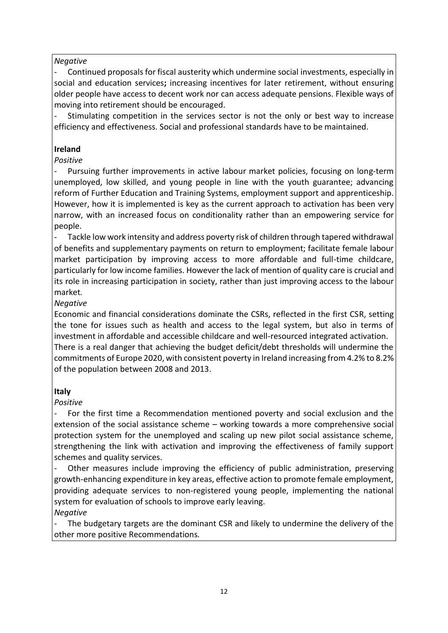## *Negative*

Continued proposals for fiscal austerity which undermine social investments, especially in social and education services**;** increasing incentives for later retirement, without ensuring older people have access to decent work nor can access adequate pensions. Flexible ways of moving into retirement should be encouraged.

Stimulating competition in the services sector is not the only or best way to increase efficiency and effectiveness. Social and professional standards have to be maintained.

## **Ireland**

## *Positive*

Pursuing further improvements in active labour market policies, focusing on long-term unemployed, low skilled, and young people in line with the youth guarantee; advancing reform of Further Education and Training Systems, employment support and apprenticeship. However, how it is implemented is key as the current approach to activation has been very narrow, with an increased focus on conditionality rather than an empowering service for people.

Tackle low work intensity and address poverty risk of children through tapered withdrawal of benefits and supplementary payments on return to employment; facilitate female labour market participation by improving access to more affordable and full-time childcare, particularly for low income families. However the lack of mention of quality care is crucial and its role in increasing participation in society, rather than just improving access to the labour market*.*

## *Negative*

Economic and financial considerations dominate the CSRs, reflected in the first CSR, setting the tone for issues such as health and access to the legal system, but also in terms of investment in affordable and accessible childcare and well-resourced integrated activation. There is a real danger that achieving the budget deficit/debt thresholds will undermine the commitments of Europe 2020, with consistent poverty in Ireland increasing from 4.2% to 8.2% of the population between 2008 and 2013.

## **Italy**

## *Positive*

For the first time a Recommendation mentioned poverty and social exclusion and the extension of the social assistance scheme – working towards a more comprehensive social protection system for the unemployed and scaling up new pilot social assistance scheme, strengthening the link with activation and improving the effectiveness of family support schemes and quality services.

Other measures include improving the efficiency of public administration, preserving growth-enhancing expenditure in key areas, effective action to promote female employment, providing adequate services to non-registered young people, implementing the national system for evaluation of schools to improve early leaving. *Negative*

The budgetary targets are the dominant CSR and likely to undermine the delivery of the other more positive Recommendations*.*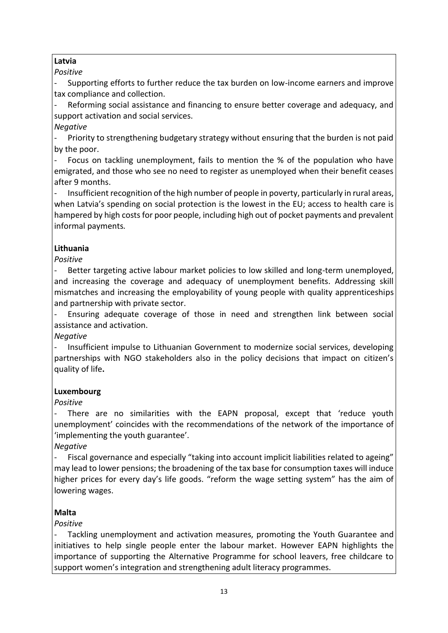# **Latvia**

*Positive*

Supporting efforts to further reduce the tax burden on low-income earners and improve tax compliance and collection.

Reforming social assistance and financing to ensure better coverage and adequacy, and support activation and social services.

*Negative*

Priority to strengthening budgetary strategy without ensuring that the burden is not paid by the poor.

Focus on tackling unemployment, fails to mention the % of the population who have emigrated, and those who see no need to register as unemployed when their benefit ceases after 9 months.

- Insufficient recognition of the high number of people in poverty, particularly in rural areas, when Latvia's spending on social protection is the lowest in the EU; access to health care is hampered by high costs for poor people, including high out of pocket payments and prevalent informal payments*.*

# **Lithuania**

*Positive*

Better targeting active labour market policies to low skilled and long-term unemployed, and increasing the coverage and adequacy of unemployment benefits. Addressing skill mismatches and increasing the employability of young people with quality apprenticeships and partnership with private sector.

- Ensuring adequate coverage of those in need and strengthen link between social assistance and activation.

*Negative*

- Insufficient impulse to Lithuanian Government to modernize social services, developing partnerships with NGO stakeholders also in the policy decisions that impact on citizen's quality of life**.**

# **Luxembourg**

*Positive*

There are no similarities with the EAPN proposal, except that 'reduce youth unemployment' coincides with the recommendations of the network of the importance of 'implementing the youth guarantee'.

*Negative*

Fiscal governance and especially "taking into account implicit liabilities related to ageing" may lead to lower pensions; the broadening of the tax base for consumption taxes will induce higher prices for every day's life goods. "reform the wage setting system" has the aim of lowering wages.

# **Malta**

*Positive* 

Tackling unemployment and activation measures, promoting the Youth Guarantee and initiatives to help single people enter the labour market. However EAPN highlights the importance of supporting the Alternative Programme for school leavers, free childcare to support women's integration and strengthening adult literacy programmes.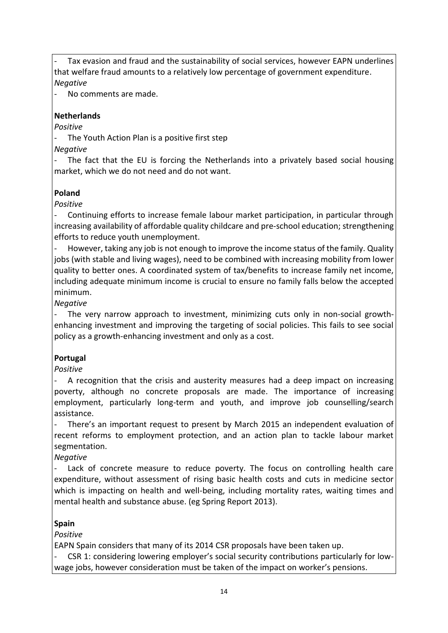Tax evasion and fraud and the sustainability of social services, however EAPN underlines that welfare fraud amounts to a relatively low percentage of government expenditure. *Negative*

No comments are made.

# **Netherlands**

*Positive*

The Youth Action Plan is a positive first step

*Negative*

The fact that the EU is forcing the Netherlands into a privately based social housing market, which we do not need and do not want.

# **Poland**

*Positive*

Continuing efforts to increase female labour market participation, in particular through increasing availability of affordable quality childcare and pre-school education; strengthening efforts to reduce youth unemployment.

- However, taking any job is not enough to improve the income status of the family. Quality jobs (with stable and living wages), need to be combined with increasing mobility from lower quality to better ones. A coordinated system of tax/benefits to increase family net income, including adequate minimum income is crucial to ensure no family falls below the accepted minimum.

*Negative*

The very narrow approach to investment, minimizing cuts only in non-social growthenhancing investment and improving the targeting of social policies. This fails to see social policy as a growth-enhancing investment and only as a cost.

# **Portugal**

*Positive*

A recognition that the crisis and austerity measures had a deep impact on increasing poverty, although no concrete proposals are made. The importance of increasing employment, particularly long-term and youth, and improve job counselling/search assistance.

There's an important request to present by March 2015 an independent evaluation of recent reforms to employment protection, and an action plan to tackle labour market segmentation.

*Negative*

Lack of concrete measure to reduce poverty. The focus on controlling health care expenditure, without assessment of rising basic health costs and cuts in medicine sector which is impacting on health and well-being, including mortality rates, waiting times and mental health and substance abuse. (eg Spring Report 2013).

# **Spain**

*Positive*

EAPN Spain considers that many of its 2014 CSR proposals have been taken up.

- CSR 1: considering lowering employer's social security contributions particularly for lowwage jobs, however consideration must be taken of the impact on worker's pensions.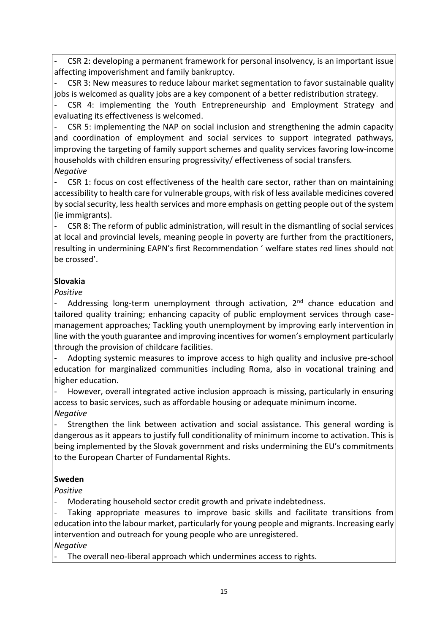CSR 2: developing a permanent framework for personal insolvency, is an important issue affecting impoverishment and family bankruptcy.

CSR 3: New measures to reduce labour market segmentation to favor sustainable quality jobs is welcomed as quality jobs are a key component of a better redistribution strategy.

CSR 4: implementing the Youth Entrepreneurship and Employment Strategy and evaluating its effectiveness is welcomed.

CSR 5: implementing the NAP on social inclusion and strengthening the admin capacity and coordination of employment and social services to support integrated pathways, improving the targeting of family support schemes and quality services favoring low-income households with children ensuring progressivity/ effectiveness of social transfers*. Negative*

CSR 1: focus on cost effectiveness of the health care sector, rather than on maintaining accessibility to health care for vulnerable groups, with risk of less available medicines covered by social security, less health services and more emphasis on getting people out of the system (ie immigrants).

CSR 8: The reform of public administration, will result in the dismantling of social services at local and provincial levels, meaning people in poverty are further from the practitioners, resulting in undermining EAPN's first Recommendation ' welfare states red lines should not be crossed'.

# **Slovakia**

# *Positive*

Addressing long-term unemployment through activation,  $2<sup>nd</sup>$  chance education and tailored quality training; enhancing capacity of public employment services through casemanagement approaches*;* Tackling youth unemployment by improving early intervention in line with the youth guarantee and improving incentives for women's employment particularly through the provision of childcare facilities.

Adopting systemic measures to improve access to high quality and inclusive pre-school education for marginalized communities including Roma, also in vocational training and higher education.

However, overall integrated active inclusion approach is missing, particularly in ensuring access to basic services, such as affordable housing or adequate minimum income. *Negative*

- Strengthen the link between activation and social assistance*.* This general wording is dangerous as it appears to justify full conditionality of minimum income to activation. This is being implemented by the Slovak government and risks undermining the EU's commitments to the European Charter of Fundamental Rights.

# **Sweden**

*Positive*

Moderating household sector credit growth and private indebtedness.

Taking appropriate measures to improve basic skills and facilitate transitions from education into the labour market, particularly for young people and migrants. Increasing early intervention and outreach for young people who are unregistered*.*

*Negative*

The overall neo-liberal approach which undermines access to rights.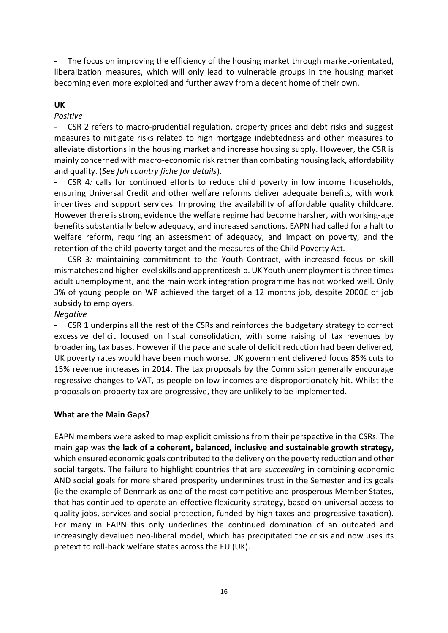The focus on improving the efficiency of the housing market through market-orientated, liberalization measures, which will only lead to vulnerable groups in the housing market becoming even more exploited and further away from a decent home of their own.

# **UK**

#### *Positive*

CSR 2 refers to macro-prudential regulation, property prices and debt risks and suggest measures to mitigate risks related to high mortgage indebtedness and other measures to alleviate distortions in the housing market and increase housing supply. However, the CSR is mainly concerned with macro-economic risk rather than combating housing lack, affordability and quality. (*See full country fiche for details*).

CSR 4*:* calls for continued efforts to reduce child poverty in low income households, ensuring Universal Credit and other welfare reforms deliver adequate benefits, with work incentives and support services. Improving the availability of affordable quality childcare*.*  However there is strong evidence the welfare regime had become harsher, with working-age benefits substantially below adequacy, and increased sanctions. EAPN had called for a halt to welfare reform, requiring an assessment of adequacy, and impact on poverty, and the retention of the child poverty target and the measures of the Child Poverty Act*.*

- CSR 3*:* maintaining commitment to the Youth Contract, with increased focus on skill mismatches and higher level skills and apprenticeship. UK Youth unemployment is three times adult unemployment, and the main work integration programme has not worked well. Only 3% of young people on WP achieved the target of a 12 months job, despite 2000£ of job subsidy to employers.

*Negative*

CSR 1 underpins all the rest of the CSRs and reinforces the budgetary strategy to correct excessive deficit focused on fiscal consolidation, with some raising of tax revenues by broadening tax bases. However if the pace and scale of deficit reduction had been delivered, UK poverty rates would have been much worse. UK government delivered focus 85% cuts to 15% revenue increases in 2014. The tax proposals by the Commission generally encourage regressive changes to VAT, as people on low incomes are disproportionately hit. Whilst the proposals on property tax are progressive, they are unlikely to be implemented.

#### **What are the Main Gaps?**

EAPN members were asked to map explicit omissions from their perspective in the CSRs. The main gap was **the lack of a coherent, balanced, inclusive and sustainable growth strategy,** which ensured economic goals contributed to the delivery on the poverty reduction and other social targets. The failure to highlight countries that are *succeeding* in combining economic AND social goals for more shared prosperity undermines trust in the Semester and its goals (ie the example of Denmark as one of the most competitive and prosperous Member States, that has continued to operate an effective flexicurity strategy, based on universal access to quality jobs, services and social protection, funded by high taxes and progressive taxation). For many in EAPN this only underlines the continued domination of an outdated and increasingly devalued neo-liberal model, which has precipitated the crisis and now uses its pretext to roll-back welfare states across the EU (UK).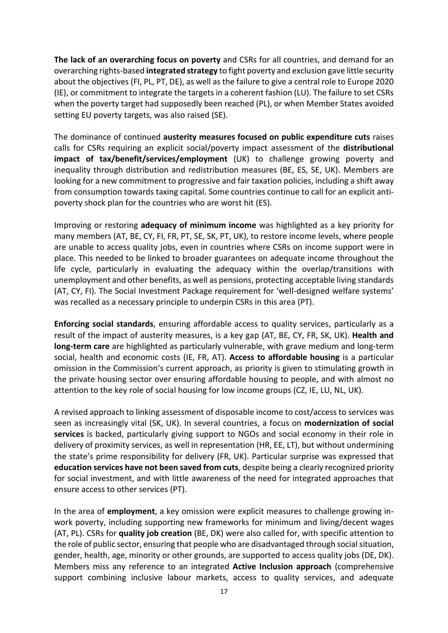**The lack of an overarching focus on poverty** and CSRs for all countries, and demand for an overarching rights-based **integrated strategy** to fight poverty and exclusion gave little security about the objectives (FI, PL, PT, DE), as well as the failure to give a central role to Europe 2020 (IE), or commitment to integrate the targets in a coherent fashion (LU). The failure to set CSRs when the poverty target had supposedly been reached (PL), or when Member States avoided setting EU poverty targets, was also raised (SE).

The dominance of continued **austerity measures focused on public expenditure cuts** raises calls for CSRs requiring an explicit social/poverty impact assessment of the **distributional impact of tax/benefit/services/employment** (UK) to challenge growing poverty and inequality through distribution and redistribution measures (BE, ES, SE, UK). Members are looking for a new commitment to progressive and fair taxation policies, including a shift away from consumption towards taxing capital. Some countries continue to call for an explicit antipoverty shock plan for the countries who are worst hit (ES).

Improving or restoring **adequacy of minimum income** was highlighted as a key priority for many members (AT, BE, CY, FI, FR, PT, SE, SK, PT, UK), to restore income levels, where people are unable to access quality jobs, even in countries where CSRs on income support were in place. This needed to be linked to broader guarantees on adequate income throughout the life cycle, particularly in evaluating the adequacy within the overlap/transitions with unemployment and other benefits, as well as pensions, protecting acceptable living standards (AT, CY, FI). The Social Investment Package requirement for 'well-designed welfare systems' was recalled as a necessary principle to underpin CSRs in this area (PT).

**Enforcing social standards**, ensuring affordable access to quality services, particularly as a result of the impact of austerity measures, is a key gap (AT, BE, CY, FR, SK, UK). **Health and long-term care** are highlighted as particularly vulnerable, with grave medium and long-term social, health and economic costs (IE, FR, AT). **Access to affordable housing** is a particular omission in the Commission's current approach, as priority is given to stimulating growth in the private housing sector over ensuring affordable housing to people, and with almost no attention to the key role of social housing for low income groups (CZ, IE, LU, NL, UK).

A revised approach to linking assessment of disposable income to cost/access to services was seen as increasingly vital (SK, UK). In several countries, a focus on **modernization of social services** is backed, particularly giving support to NGOs and social economy in their role in delivery of proximity services, as well in representation (HR, EE, LT), but without undermining the state's prime responsibility for delivery (FR, UK). Particular surprise was expressed that **education services have not been saved from cuts**, despite being a clearly recognized priority for social investment, and with little awareness of the need for integrated approaches that ensure access to other services (PT).

In the area of **employment**, a key omission were explicit measures to challenge growing inwork poverty, including supporting new frameworks for minimum and living/decent wages (AT, PL). CSRs for **quality job creation** (BE, DK) were also called for, with specific attention to the role of public sector, ensuring that people who are disadvantaged through social situation, gender, health, age, minority or other grounds, are supported to access quality jobs (DE, DK). Members miss any reference to an integrated **Active Inclusion approach** (comprehensive support combining inclusive labour markets, access to quality services, and adequate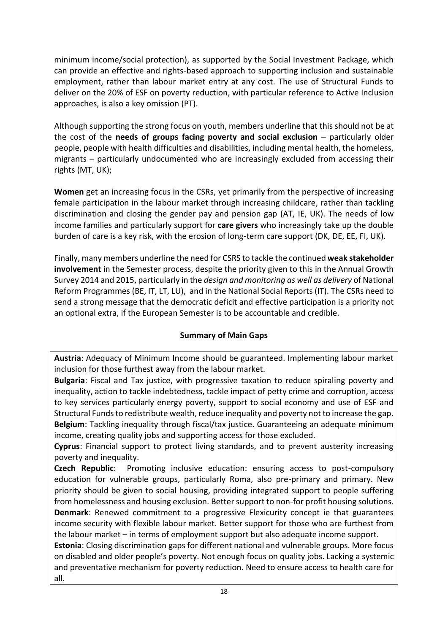minimum income/social protection), as supported by the Social Investment Package, which can provide an effective and rights-based approach to supporting inclusion and sustainable employment, rather than labour market entry at any cost. The use of Structural Funds to deliver on the 20% of ESF on poverty reduction, with particular reference to Active Inclusion approaches, is also a key omission (PT).

Although supporting the strong focus on youth, members underline that this should not be at the cost of the **needs of groups facing poverty and social exclusion** – particularly older people, people with health difficulties and disabilities, including mental health, the homeless, migrants – particularly undocumented who are increasingly excluded from accessing their rights (MT, UK);

**Women** get an increasing focus in the CSRs, yet primarily from the perspective of increasing female participation in the labour market through increasing childcare, rather than tackling discrimination and closing the gender pay and pension gap (AT, IE, UK). The needs of low income families and particularly support for **care givers** who increasingly take up the double burden of care is a key risk, with the erosion of long-term care support (DK, DE, EE, FI, UK).

Finally, many members underline the need for CSRS to tackle the continued **weak stakeholder involvement** in the Semester process, despite the priority given to this in the Annual Growth Survey 2014 and 2015, particularly in the *design and monitoring as well as delivery* of National Reform Programmes (BE, IT, LT, LU), and in the National Social Reports (IT). The CSRs need to send a strong message that the democratic deficit and effective participation is a priority not an optional extra, if the European Semester is to be accountable and credible.

# **Summary of Main Gaps**

**Austria**: Adequacy of Minimum Income should be guaranteed. Implementing labour market inclusion for those furthest away from the labour market.

**Bulgaria**: Fiscal and Tax justice, with progressive taxation to reduce spiraling poverty and inequality, action to tackle indebtedness, tackle impact of petty crime and corruption, access to key services particularly energy poverty, support to social economy and use of ESF and Structural Funds to redistribute wealth, reduce inequality and poverty not to increase the gap. **Belgium**: Tackling inequality through fiscal/tax justice. Guaranteeing an adequate minimum income, creating quality jobs and supporting access for those excluded.

**Cyprus**: Financial support to protect living standards, and to prevent austerity increasing poverty and inequality.

**Czech Republic**: Promoting inclusive education: ensuring access to post-compulsory education for vulnerable groups, particularly Roma, also pre-primary and primary. New priority should be given to social housing, providing integrated support to people suffering from homelessness and housing exclusion. Better support to non-for profit housing solutions. **Denmark**: Renewed commitment to a progressive Flexicurity concept ie that guarantees income security with flexible labour market. Better support for those who are furthest from the labour market – in terms of employment support but also adequate income support.

**Estonia**: Closing discrimination gaps for different national and vulnerable groups. More focus on disabled and older people's poverty. Not enough focus on quality jobs. Lacking a systemic and preventative mechanism for poverty reduction. Need to ensure access to health care for all.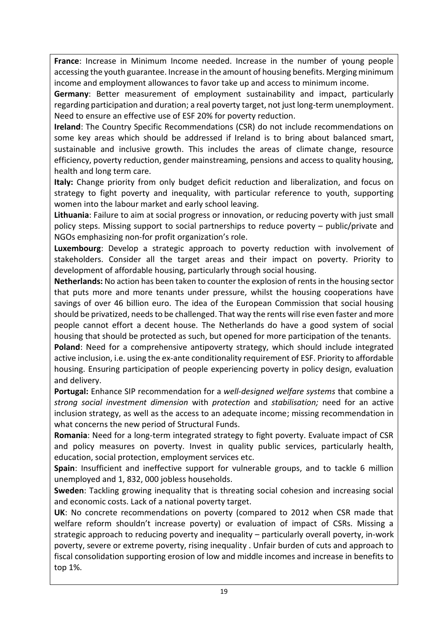**France**: Increase in Minimum Income needed. Increase in the number of young people accessing the youth guarantee. Increase in the amount of housing benefits. Merging minimum income and employment allowances to favor take up and access to minimum income.

**Germany**: Better measurement of employment sustainability and impact, particularly regarding participation and duration; a real poverty target, not just long-term unemployment. Need to ensure an effective use of ESF 20% for poverty reduction.

**Ireland**: The Country Specific Recommendations (CSR) do not include recommendations on some key areas which should be addressed if Ireland is to bring about balanced smart, sustainable and inclusive growth. This includes the areas of climate change, resource efficiency, poverty reduction, gender mainstreaming, pensions and access to quality housing, health and long term care.

**Italy:** Change priority from only budget deficit reduction and liberalization, and focus on strategy to fight poverty and inequality, with particular reference to youth, supporting women into the labour market and early school leaving.

**Lithuania**: Failure to aim at social progress or innovation, or reducing poverty with just small policy steps. Missing support to social partnerships to reduce poverty – public/private and NGOs emphasizing non-for profit organization's role.

**Luxembourg**: Develop a strategic approach to poverty reduction with involvement of stakeholders. Consider all the target areas and their impact on poverty. Priority to development of affordable housing, particularly through social housing.

**Netherlands:** No action has been taken to counter the explosion of rents in the housing sector that puts more and more tenants under pressure, whilst the housing cooperations have savings of over 46 billion euro. The idea of the European Commission that social housing should be privatized, needs to be challenged. That way the rents will rise even faster and more people cannot effort a decent house. The Netherlands do have a good system of social housing that should be protected as such, but opened for more participation of the tenants.

**Poland**: Need for a comprehensive antipoverty strategy, which should include integrated active inclusion, i.e. using the ex-ante conditionality requirement of ESF. Priority to affordable housing. Ensuring participation of people experiencing poverty in policy design, evaluation and delivery.

**Portugal:** Enhance SIP recommendation for a *well-designed welfare systems* that combine a *strong social investment dimension* with *protection* and *stabilisation;* need for an active inclusion strategy, as well as the access to an adequate income; missing recommendation in what concerns the new period of Structural Funds.

**Romania**: Need for a long-term integrated strategy to fight poverty. Evaluate impact of CSR and policy measures on poverty. Invest in quality public services, particularly health, education, social protection, employment services etc.

**Spain**: Insufficient and ineffective support for vulnerable groups, and to tackle 6 million unemployed and 1, 832, 000 jobless households.

**Sweden**: Tackling growing inequality that is threating social cohesion and increasing social and economic costs. Lack of a national poverty target.

**UK**: No concrete recommendations on poverty (compared to 2012 when CSR made that welfare reform shouldn't increase poverty) or evaluation of impact of CSRs. Missing a strategic approach to reducing poverty and inequality – particularly overall poverty, in-work poverty, severe or extreme poverty, rising inequality . Unfair burden of cuts and approach to fiscal consolidation supporting erosion of low and middle incomes and increase in benefits to top 1%.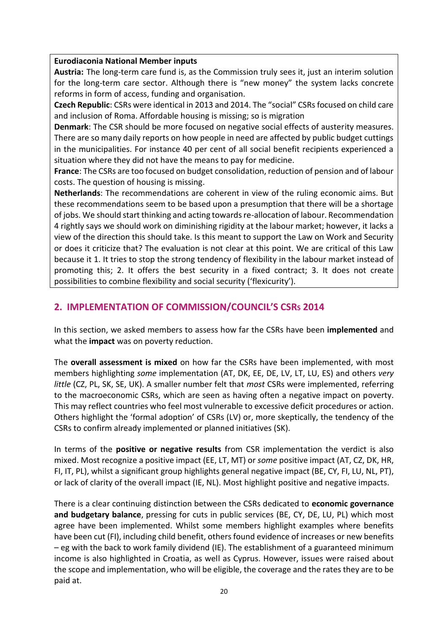#### **Eurodiaconia National Member inputs**

**Austria:** The long-term care fund is, as the Commission truly sees it, just an interim solution for the long-term care sector. Although there is "new money" the system lacks concrete reforms in form of access, funding and organisation.

**Czech Republic**: CSRs were identical in 2013 and 2014. The "social" CSRs focused on child care and inclusion of Roma. Affordable housing is missing; so is migration

**Denmark**: The CSR should be more focused on negative social effects of austerity measures. There are so many daily reports on how people in need are affected by public budget cuttings in the municipalities. For instance 40 per cent of all social benefit recipients experienced a situation where they did not have the means to pay for medicine.

**France**: The CSRs are too focused on budget consolidation, reduction of pension and of labour costs. The question of housing is missing.

**Netherlands**: The recommendations are coherent in view of the ruling economic aims. But these recommendations seem to be based upon a presumption that there will be a shortage of jobs. We should start thinking and acting towards re-allocation of labour. Recommendation 4 rightly says we should work on diminishing rigidity at the labour market; however, it lacks a view of the direction this should take. Is this meant to support the Law on Work and Security or does it criticize that? The evaluation is not clear at this point. We are critical of this Law because it 1. It tries to stop the strong tendency of flexibility in the labour market instead of promoting this; 2. It offers the best security in a fixed contract; 3. It does not create possibilities to combine flexibility and social security ('flexicurity').

# **2. IMPLEMENTATION OF COMMISSION/COUNCIL'S CSRS 2014**

In this section, we asked members to assess how far the CSRs have been **implemented** and what the **impact** was on poverty reduction.

The **overall assessment is mixed** on how far the CSRs have been implemented, with most members highlighting *some* implementation (AT, DK, EE, DE, LV, LT, LU, ES) and others *very little* (CZ, PL, SK, SE, UK). A smaller number felt that *most* CSRs were implemented, referring to the macroeconomic CSRs, which are seen as having often a negative impact on poverty. This may reflect countries who feel most vulnerable to excessive deficit procedures or action. Others highlight the 'formal adoption' of CSRs (LV) or, more skeptically, the tendency of the CSRs to confirm already implemented or planned initiatives (SK).

In terms of the **positive or negative results** from CSR implementation the verdict is also mixed. Most recognize a positive impact (EE, LT, MT) or *some* positive impact (AT, CZ, DK, HR, FI, IT, PL), whilst a significant group highlights general negative impact (BE, CY, FI, LU, NL, PT), or lack of clarity of the overall impact (IE, NL). Most highlight positive and negative impacts.

There is a clear continuing distinction between the CSRs dedicated to **economic governance and budgetary balance**, pressing for cuts in public services (BE, CY, DE, LU, PL) which most agree have been implemented. Whilst some members highlight examples where benefits have been cut (FI), including child benefit, others found evidence of increases or new benefits – eg with the back to work family dividend (IE). The establishment of a guaranteed minimum income is also highlighted in Croatia, as well as Cyprus. However, issues were raised about the scope and implementation, who will be eligible, the coverage and the rates they are to be paid at.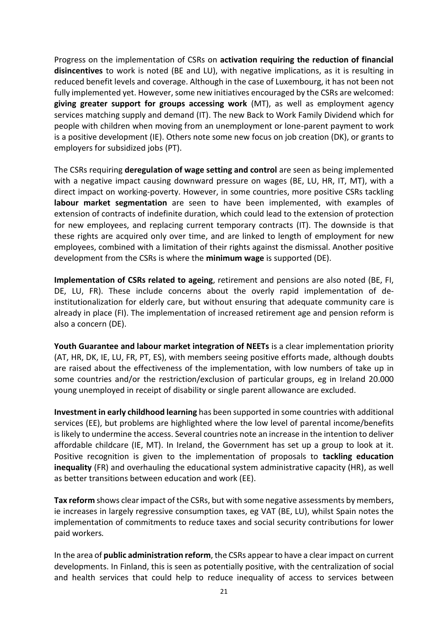Progress on the implementation of CSRs on **activation requiring the reduction of financial disincentives** to work is noted (BE and LU), with negative implications, as it is resulting in reduced benefit levels and coverage. Although in the case of Luxembourg, it has not been not fully implemented yet. However, some new initiatives encouraged by the CSRs are welcomed: **giving greater support for groups accessing work** (MT), as well as employment agency services matching supply and demand (IT). The new Back to Work Family Dividend which for people with children when moving from an unemployment or lone-parent payment to work is a positive development (IE). Others note some new focus on job creation (DK), or grants to employers for subsidized jobs (PT).

The CSRs requiring **deregulation of wage setting and control** are seen as being implemented with a negative impact causing downward pressure on wages (BE, LU, HR, IT, MT), with a direct impact on working-poverty. However, in some countries, more positive CSRs tackling **labour market segmentation** are seen to have been implemented, with examples of extension of contracts of indefinite duration, which could lead to the extension of protection for new employees, and replacing current temporary contracts (IT). The downside is that these rights are acquired only over time, and are linked to length of employment for new employees, combined with a limitation of their rights against the dismissal. Another positive development from the CSRs is where the **minimum wage** is supported (DE).

**Implementation of CSRs related to ageing**, retirement and pensions are also noted (BE, FI, DE, LU, FR). These include concerns about the overly rapid implementation of deinstitutionalization for elderly care, but without ensuring that adequate community care is already in place (FI). The implementation of increased retirement age and pension reform is also a concern (DE).

**Youth Guarantee and labour market integration of NEETs** is a clear implementation priority (AT, HR, DK, IE, LU, FR, PT, ES), with members seeing positive efforts made, although doubts are raised about the effectiveness of the implementation, with low numbers of take up in some countries and/or the restriction/exclusion of particular groups, eg in Ireland 20.000 young unemployed in receipt of disability or single parent allowance are excluded.

**Investment in early childhood learning** has been supported in some countries with additional services (EE), but problems are highlighted where the low level of parental income/benefits is likely to undermine the access. Several countries note an increase in the intention to deliver affordable childcare (IE, MT). In Ireland, the Government has set up a group to look at it. Positive recognition is given to the implementation of proposals to **tackling education inequality** (FR) and overhauling the educational system administrative capacity (HR), as well as better transitions between education and work (EE).

**Tax reform** shows clear impact of the CSRs, but with some negative assessments by members, ie increases in largely regressive consumption taxes, eg VAT (BE, LU), whilst Spain notes the implementation of commitments to reduce taxes and social security contributions for lower paid workers*.* 

In the area of **public administration reform**, the CSRs appear to have a clear impact on current developments. In Finland, this is seen as potentially positive, with the centralization of social and health services that could help to reduce inequality of access to services between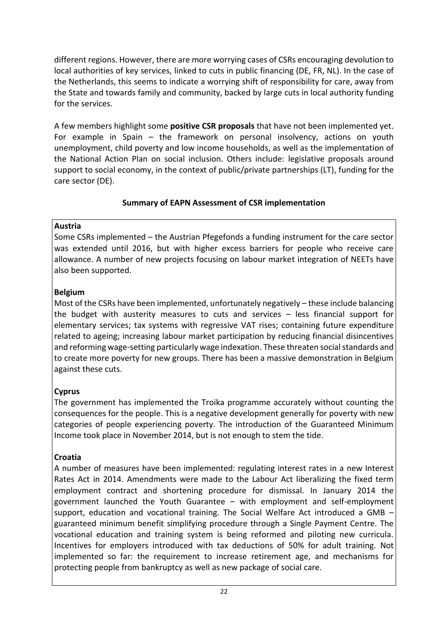different regions. However, there are more worrying cases of CSRs encouraging devolution to local authorities of key services, linked to cuts in public financing (DE, FR, NL). In the case of the Netherlands, this seems to indicate a worrying shift of responsibility for care, away from the State and towards family and community, backed by large cuts in local authority funding for the services.

A few members highlight some **positive CSR proposals** that have not been implemented yet. For example in Spain – the framework on personal insolvency, actions on youth unemployment, child poverty and low income households, as well as the implementation of the National Action Plan on social inclusion. Others include: legislative proposals around support to social economy, in the context of public/private partnerships (LT), funding for the care sector (DE).

# **Summary of EAPN Assessment of CSR implementation**

# **Austria**

Some CSRs implemented – the Austrian Pfegefonds a funding instrument for the care sector was extended until 2016, but with higher excess barriers for people who receive care allowance. A number of new projects focusing on labour market integration of NEETs have also been supported.

# **Belgium**

Most of the CSRs have been implemented, unfortunately negatively – these include balancing the budget with austerity measures to cuts and services – less financial support for elementary services; tax systems with regressive VAT rises; containing future expenditure related to ageing; increasing labour market participation by reducing financial disincentives and reforming wage-setting particularly wage indexation. These threaten social standards and to create more poverty for new groups. There has been a massive demonstration in Belgium against these cuts.

# **Cyprus**

The government has implemented the Troika programme accurately without counting the consequences for the people. This is a negative development generally for poverty with new categories of people experiencing poverty. The introduction of the Guaranteed Minimum Income took place in November 2014, but is not enough to stem the tide.

# **Croatia**

A number of measures have been implemented: regulating interest rates in a new Interest Rates Act in 2014. Amendments were made to the Labour Act liberalizing the fixed term employment contract and shortening procedure for dismissal. In January 2014 the government launched the Youth Guarantee – with employment and self-employment support, education and vocational training. The Social Welfare Act introduced a GMB – guaranteed minimum benefit simplifying procedure through a Single Payment Centre. The vocational education and training system is being reformed and piloting new curricula. Incentives for employers introduced with tax deductions of 50% for adult training. Not implemented so far: the requirement to increase retirement age, and mechanisms for protecting people from bankruptcy as well as new package of social care.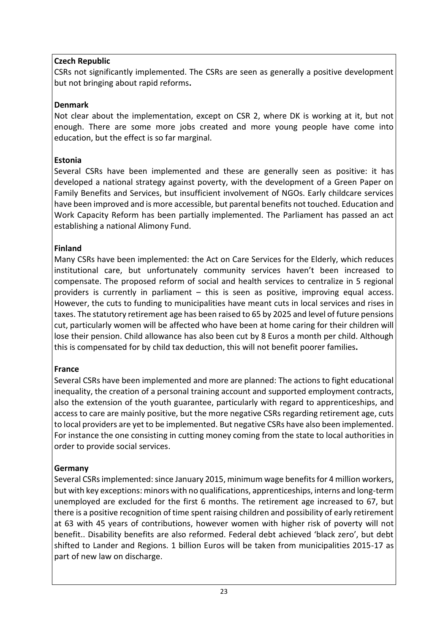# **Czech Republic**

CSRs not significantly implemented. The CSRs are seen as generally a positive development but not bringing about rapid reforms**.**

# **Denmark**

Not clear about the implementation, except on CSR 2, where DK is working at it, but not enough. There are some more jobs created and more young people have come into education, but the effect is so far marginal.

# **Estonia**

Several CSRs have been implemented and these are generally seen as positive: it has developed a national strategy against poverty, with the development of a Green Paper on Family Benefits and Services, but insufficient involvement of NGOs. Early childcare services have been improved and is more accessible, but parental benefits not touched. Education and Work Capacity Reform has been partially implemented. The Parliament has passed an act establishing a national Alimony Fund.

# **Finland**

Many CSRs have been implemented: the Act on Care Services for the Elderly, which reduces institutional care, but unfortunately community services haven't been increased to compensate. The proposed reform of social and health services to centralize in 5 regional providers is currently in parliament – this is seen as positive, improving equal access. However, the cuts to funding to municipalities have meant cuts in local services and rises in taxes. The statutory retirement age has been raised to 65 by 2025 and level of future pensions cut, particularly women will be affected who have been at home caring for their children will lose their pension. Child allowance has also been cut by 8 Euros a month per child. Although this is compensated for by child tax deduction, this will not benefit poorer families**.**

# **France**

Several CSRs have been implemented and more are planned: The actions to fight educational inequality, the creation of a personal training account and supported employment contracts, also the extension of the youth guarantee, particularly with regard to apprenticeships, and access to care are mainly positive, but the more negative CSRs regarding retirement age, cuts to local providers are yet to be implemented. But negative CSRs have also been implemented. For instance the one consisting in cutting money coming from the state to local authorities in order to provide social services.

# **Germany**

Several CSRs implemented: since January 2015, minimum wage benefits for 4 million workers, but with key exceptions: minors with no qualifications, apprenticeships, interns and long-term unemployed are excluded for the first 6 months. The retirement age increased to 67, but there is a positive recognition of time spent raising children and possibility of early retirement at 63 with 45 years of contributions, however women with higher risk of poverty will not benefit.. Disability benefits are also reformed. Federal debt achieved 'black zero', but debt shifted to Lander and Regions. 1 billion Euros will be taken from municipalities 2015-17 as part of new law on discharge.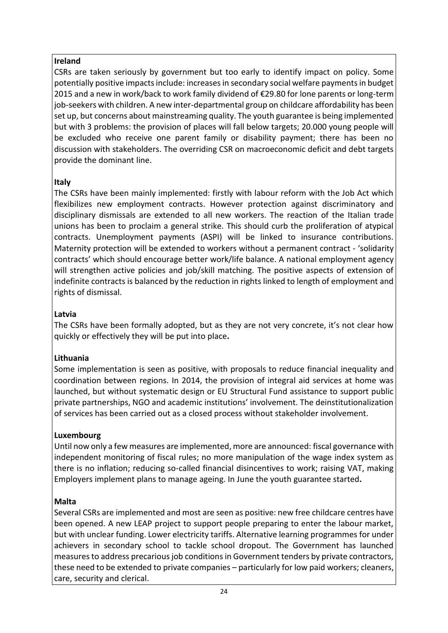# **Ireland**

CSRs are taken seriously by government but too early to identify impact on policy. Some potentially positive impacts include: increases in secondary social welfare payments in budget 2015 and a new in work/back to work family dividend of €29.80 for lone parents or long-term job-seekers with children. A new inter-departmental group on childcare affordability has been set up, but concerns about mainstreaming quality. The youth guarantee is being implemented but with 3 problems: the provision of places will fall below targets; 20.000 young people will be excluded who receive one parent family or disability payment; there has been no discussion with stakeholders. The overriding CSR on macroeconomic deficit and debt targets provide the dominant line.

# **Italy**

The CSRs have been mainly implemented: firstly with labour reform with the Job Act which flexibilizes new employment contracts. However protection against discriminatory and disciplinary dismissals are extended to all new workers. The reaction of the Italian trade unions has been to proclaim a general strike. This should curb the proliferation of atypical contracts. Unemployment payments (ASPI) will be linked to insurance contributions. Maternity protection will be extended to workers without a permanent contract - 'solidarity contracts' which should encourage better work/life balance. A national employment agency will strengthen active policies and job/skill matching. The positive aspects of extension of indefinite contracts is balanced by the reduction in rights linked to length of employment and rights of dismissal.

# **Latvia**

The CSRs have been formally adopted, but as they are not very concrete, it's not clear how quickly or effectively they will be put into place**.**

# **Lithuania**

Some implementation is seen as positive, with proposals to reduce financial inequality and coordination between regions. In 2014, the provision of integral aid services at home was launched, but without systematic design or EU Structural Fund assistance to support public private partnerships, NGO and academic institutions' involvement. The deinstitutionalization of services has been carried out as a closed process without stakeholder involvement.

# **Luxembourg**

Until now only a few measures are implemented, more are announced: fiscal governance with independent monitoring of fiscal rules; no more manipulation of the wage index system as there is no inflation; reducing so-called financial disincentives to work; raising VAT, making Employers implement plans to manage ageing. In June the youth guarantee started**.**

# **Malta**

Several CSRs are implemented and most are seen as positive: new free childcare centres have been opened. A new LEAP project to support people preparing to enter the labour market, but with unclear funding. Lower electricity tariffs. Alternative learning programmes for under achievers in secondary school to tackle school dropout. The Government has launched measures to address precarious job conditions in Government tenders by private contractors, these need to be extended to private companies – particularly for low paid workers; cleaners, care, security and clerical.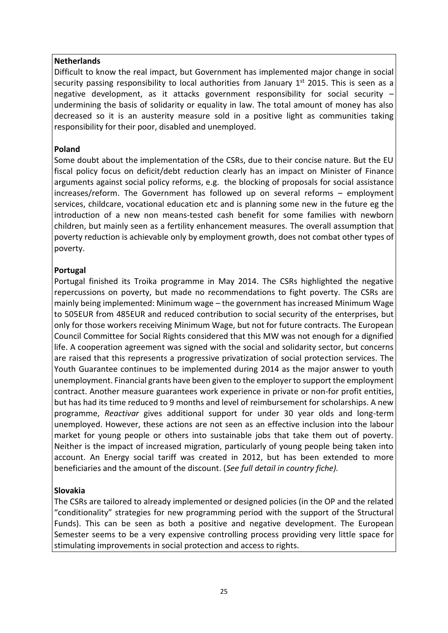#### **Netherlands**

Difficult to know the real impact, but Government has implemented major change in social security passing responsibility to local authorities from January  $1<sup>st</sup>$  2015. This is seen as a negative development, as it attacks government responsibility for social security – undermining the basis of solidarity or equality in law. The total amount of money has also decreased so it is an austerity measure sold in a positive light as communities taking responsibility for their poor, disabled and unemployed.

#### **Poland**

Some doubt about the implementation of the CSRs, due to their concise nature. But the EU fiscal policy focus on deficit/debt reduction clearly has an impact on Minister of Finance arguments against social policy reforms, e.g. the blocking of proposals for social assistance increases/reform. The Government has followed up on several reforms – employment services, childcare, vocational education etc and is planning some new in the future eg the introduction of a new non means-tested cash benefit for some families with newborn children, but mainly seen as a fertility enhancement measures. The overall assumption that poverty reduction is achievable only by employment growth, does not combat other types of poverty.

## **Portugal**

Portugal finished its Troika programme in May 2014. The CSRs highlighted the negative repercussions on poverty, but made no recommendations to fight poverty. The CSRs are mainly being implemented: Minimum wage – the government has increased Minimum Wage to 505EUR from 485EUR and reduced contribution to social security of the enterprises, but only for those workers receiving Minimum Wage, but not for future contracts. The European Council Committee for Social Rights considered that this MW was not enough for a dignified life. A cooperation agreement was signed with the social and solidarity sector, but concerns are raised that this represents a progressive privatization of social protection services. The Youth Guarantee continues to be implemented during 2014 as the major answer to youth unemployment. Financial grants have been given to the employer to support the employment contract. Another measure guarantees work experience in private or non-for profit entities, but has had its time reduced to 9 months and level of reimbursement for scholarships. A new programme, *Reactivar* gives additional support for under 30 year olds and long-term unemployed. However, these actions are not seen as an effective inclusion into the labour market for young people or others into sustainable jobs that take them out of poverty. Neither is the impact of increased migration, particularly of young people being taken into account. An Energy social tariff was created in 2012, but has been extended to more beneficiaries and the amount of the discount. (*See full detail in country fiche).*

## **Slovakia**

The CSRs are tailored to already implemented or designed policies (in the OP and the related "conditionality" strategies for new programming period with the support of the Structural Funds). This can be seen as both a positive and negative development. The European Semester seems to be a very expensive controlling process providing very little space for stimulating improvements in social protection and access to rights.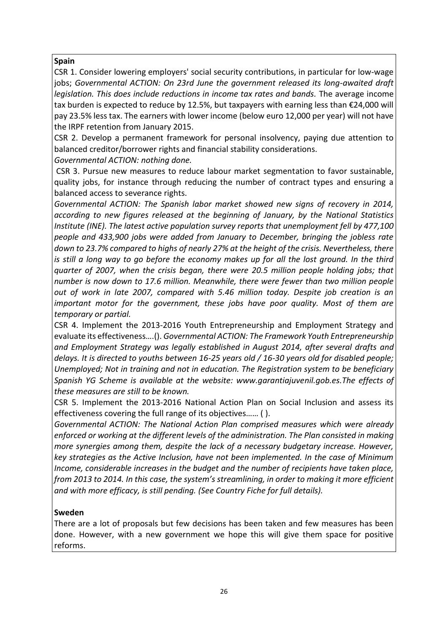## **Spain**

CSR 1. Consider lowering employers' social security contributions, in particular for low‐wage jobs; *Governmental ACTION: On 23rd June the government released its long-awaited draft legislation. This does include reductions in income tax rates and bands.* The average income tax burden is expected to reduce by 12.5%, but taxpayers with earning less than €24,000 will pay 23.5% less tax. The earners with lower income (below euro 12,000 per year) will not have the IRPF retention from January 2015.

CSR 2. Develop a permanent framework for personal insolvency, paying due attention to balanced creditor/borrower rights and financial stability considerations.

*Governmental ACTION: nothing done.*

CSR 3. Pursue new measures to reduce labour market segmentation to favor sustainable, quality jobs, for instance through reducing the number of contract types and ensuring a balanced access to severance rights.

*Governmental ACTION: The Spanish labor market showed new signs of recovery in 2014, according to new figures released at the beginning of January, by the National Statistics Institute (INE). The latest active population survey reports that unemployment fell by 477,100 people and 433,900 jobs were added from January to December, bringing the jobless rate down to 23.7% compared to highs of nearly 27% at the height of the crisis. Nevertheless, there*  is still a long way to go before the economy makes up for all the lost ground. In the third *quarter of 2007, when the crisis began, there were 20.5 million people holding jobs; that number is now down to 17.6 million. Meanwhile, there were fewer than two million people out of work in late 2007, compared with 5.46 million today. Despite job creation is an important motor for the government, these jobs have poor quality. Most of them are temporary or partial.*

CSR 4. Implement the 2013‐2016 Youth Entrepreneurship and Employment Strategy and evaluate its effectiveness….(). *Governmental ACTION: The Framework Youth Entrepreneurship and Employment Strategy was legally established in August 2014, after several drafts and delays. It is directed to youths between 16-25 years old / 16-30 years old for disabled people; Unemployed; Not in training and not in education. The Registration system to be beneficiary Spanish YG Scheme is available at the website: www.garantiajuvenil.gob.es.The effects of these measures are still to be known.*

CSR 5. Implement the 2013‐2016 National Action Plan on Social Inclusion and assess its effectiveness covering the full range of its objectives…… ( ).

*Governmental ACTION: The National Action Plan comprised measures which were already enforced or working at the different levels of the administration. The Plan consisted in making more synergies among them, despite the lack of a necessary budgetary increase. However, key strategies as the Active Inclusion, have not been implemented. In the case of Minimum Income, considerable increases in the budget and the number of recipients have taken place, from 2013 to 2014. In this case, the system's streamlining, in order to making it more efficient and with more efficacy, is still pending. (See Country Fiche for full details).*

#### **Sweden**

There are a lot of proposals but few decisions has been taken and few measures has been done. However, with a new government we hope this will give them space for positive reforms.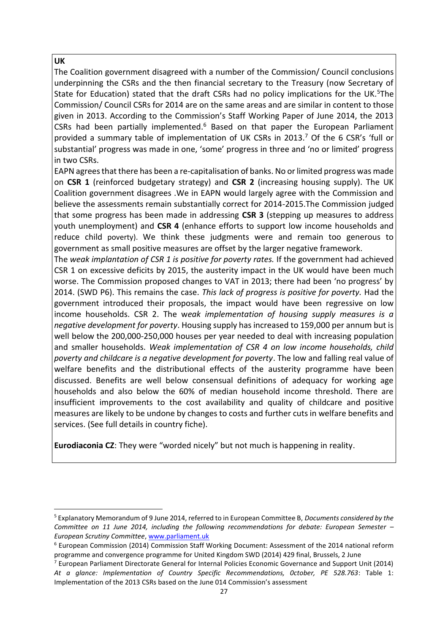#### **UK**

-

The Coalition government disagreed with a number of the Commission/ Council conclusions underpinning the CSRs and the then financial secretary to the Treasury (now Secretary of State for Education) stated that the draft CSRs had no policy implications for the UK.<sup>5</sup>The Commission/ Council CSRs for 2014 are on the same areas and are similar in content to those given in 2013. According to the Commission's Staff Working Paper of June 2014, the 2013 CSRs had been partially implemented. $6$  Based on that paper the European Parliament provided a summary table of implementation of UK CSRs in 2013.<sup>7</sup> Of the 6 CSR's 'full or substantial' progress was made in one, 'some' progress in three and 'no or limited' progress in two CSRs.

EAPN agreesthat there has been a re-capitalisation of banks. No or limited progress was made on **CSR 1** (reinforced budgetary strategy) and **CSR 2** (increasing housing supply). The UK Coalition government disagrees .We in EAPN would largely agree with the Commission and believe the assessments remain substantially correct for 2014-2015.The Commission judged that some progress has been made in addressing **CSR 3** (stepping up measures to address youth unemployment) and **CSR 4** (enhance efforts to support low income households and reduce child poverty). We think these judgments were and remain too generous to government as small positive measures are offset by the larger negative framework.

The *weak implantation of CSR 1 is positive for poverty rates.* If the government had achieved CSR 1 on excessive deficits by 2015, the austerity impact in the UK would have been much worse. The Commission proposed changes to VAT in 2013; there had been 'no progress' by 2014. (SWD P6). This remains the case. *This lack of progress is positive for poverty.* Had the government introduced their proposals, the impact would have been regressive on low income households. CSR 2. The w*eak implementation of housing supply measures is a negative development for poverty*. Housing supply has increased to 159,000 per annum but is well below the 200,000-250,000 houses per year needed to deal with increasing population and smaller households. *Weak implementation of CSR 4 on low income households, child poverty and childcare is a negative development for poverty*. The low and falling real value of welfare benefits and the distributional effects of the austerity programme have been discussed. Benefits are well below consensual definitions of adequacy for working age households and also below the 60% of median household income threshold. There are insufficient improvements to the cost availability and quality of childcare and positive measures are likely to be undone by changes to costs and further cuts in welfare benefits and services. (See full details in country fiche).

**Eurodiaconia CZ**: They were "worded nicely" but not much is happening in reality.

<sup>5</sup> Explanatory Memorandum of 9 June 2014, referred to in European Committee B, *Documents considered by the Committee on 11 June 2014, including the following recommendations for debate: European Semester – European Scrutiny Committee*[, www.parliament.uk](http://www.parliament.uk/)

<sup>6</sup> European Commission (2014) Commission Staff Working Document: Assessment of the 2014 national reform programme and convergence programme for United Kingdom SWD (2014) 429 final, Brussels, 2 June

<sup>7</sup> European Parliament Directorate General for Internal Policies Economic Governance and Support Unit (2014) *At a glance: Implementation of Country Specific Recommendations, 0ctober, PE 528.763*: Table 1: Implementation of the 2013 CSRs based on the June 014 Commission's assessment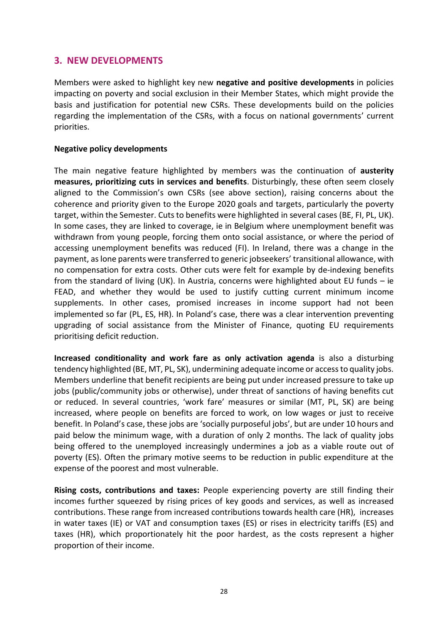# **3. NEW DEVELOPMENTS**

Members were asked to highlight key new **negative and positive developments** in policies impacting on poverty and social exclusion in their Member States, which might provide the basis and justification for potential new CSRs. These developments build on the policies regarding the implementation of the CSRs, with a focus on national governments' current priorities.

#### **Negative policy developments**

The main negative feature highlighted by members was the continuation of **austerity measures, prioritizing cuts in services and benefits**. Disturbingly, these often seem closely aligned to the Commission's own CSRs (see above section), raising concerns about the coherence and priority given to the Europe 2020 goals and targets, particularly the poverty target, within the Semester. Cuts to benefits were highlighted in several cases (BE, FI, PL, UK). In some cases, they are linked to coverage, ie in Belgium where unemployment benefit was withdrawn from young people, forcing them onto social assistance, or where the period of accessing unemployment benefits was reduced (FI). In Ireland, there was a change in the payment, as lone parents were transferred to generic jobseekers' transitional allowance, with no compensation for extra costs. Other cuts were felt for example by de-indexing benefits from the standard of living (UK). In Austria, concerns were highlighted about EU funds – ie FEAD, and whether they would be used to justify cutting current minimum income supplements. In other cases, promised increases in income support had not been implemented so far (PL, ES, HR). In Poland's case, there was a clear intervention preventing upgrading of social assistance from the Minister of Finance, quoting EU requirements prioritising deficit reduction.

**Increased conditionality and work fare as only activation agenda** is also a disturbing tendency highlighted (BE, MT, PL, SK), undermining adequate income or access to quality jobs. Members underline that benefit recipients are being put under increased pressure to take up jobs (public/community jobs or otherwise), under threat of sanctions of having benefits cut or reduced. In several countries, 'work fare' measures or similar (MT, PL, SK) are being increased, where people on benefits are forced to work, on low wages or just to receive benefit. In Poland's case, these jobs are 'socially purposeful jobs', but are under 10 hours and paid below the minimum wage, with a duration of only 2 months. The lack of quality jobs being offered to the unemployed increasingly undermines a job as a viable route out of poverty (ES). Often the primary motive seems to be reduction in public expenditure at the expense of the poorest and most vulnerable.

**Rising costs, contributions and taxes:** People experiencing poverty are still finding their incomes further squeezed by rising prices of key goods and services, as well as increased contributions. These range from increased contributions towards health care (HR), increases in water taxes (IE) or VAT and consumption taxes (ES) or rises in electricity tariffs (ES) and taxes (HR), which proportionately hit the poor hardest, as the costs represent a higher proportion of their income.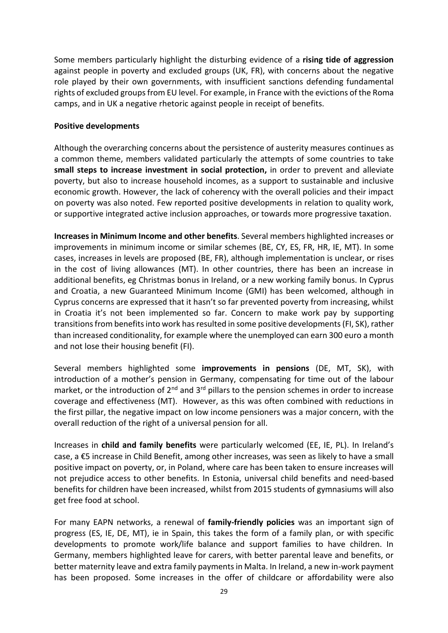Some members particularly highlight the disturbing evidence of a **rising tide of aggression** against people in poverty and excluded groups (UK, FR), with concerns about the negative role played by their own governments, with insufficient sanctions defending fundamental rights of excluded groups from EU level. For example, in France with the evictions of the Roma camps, and in UK a negative rhetoric against people in receipt of benefits.

#### **Positive developments**

Although the overarching concerns about the persistence of austerity measures continues as a common theme, members validated particularly the attempts of some countries to take **small steps to increase investment in social protection,** in order to prevent and alleviate poverty, but also to increase household incomes, as a support to sustainable and inclusive economic growth. However, the lack of coherency with the overall policies and their impact on poverty was also noted. Few reported positive developments in relation to quality work, or supportive integrated active inclusion approaches, or towards more progressive taxation.

**Increases in Minimum Income and other benefits**. Several members highlighted increases or improvements in minimum income or similar schemes (BE, CY, ES, FR, HR, IE, MT). In some cases, increases in levels are proposed (BE, FR), although implementation is unclear, or rises in the cost of living allowances (MT). In other countries, there has been an increase in additional benefits, eg Christmas bonus in Ireland, or a new working family bonus. In Cyprus and Croatia, a new Guaranteed Minimum Income (GMI) has been welcomed, although in Cyprus concerns are expressed that it hasn't so far prevented poverty from increasing, whilst in Croatia it's not been implemented so far. Concern to make work pay by supporting transitions from benefits into work has resulted in some positive developments (FI, SK), rather than increased conditionality, for example where the unemployed can earn 300 euro a month and not lose their housing benefit (FI).

Several members highlighted some **improvements in pensions** (DE, MT, SK), with introduction of a mother's pension in Germany, compensating for time out of the labour market, or the introduction of  $2^{nd}$  and  $3^{rd}$  pillars to the pension schemes in order to increase coverage and effectiveness (MT). However, as this was often combined with reductions in the first pillar, the negative impact on low income pensioners was a major concern, with the overall reduction of the right of a universal pension for all.

Increases in **child and family benefits** were particularly welcomed (EE, IE, PL). In Ireland's case, a €5 increase in Child Benefit, among other increases, was seen as likely to have a small positive impact on poverty, or, in Poland, where care has been taken to ensure increases will not prejudice access to other benefits. In Estonia, universal child benefits and need-based benefits for children have been increased, whilst from 2015 students of gymnasiums will also get free food at school.

For many EAPN networks, a renewal of **family-friendly policies** was an important sign of progress (ES, IE, DE, MT), ie in Spain, this takes the form of a family plan, or with specific developments to promote work/life balance and support families to have children. In Germany, members highlighted leave for carers, with better parental leave and benefits, or better maternity leave and extra family payments in Malta. In Ireland, a new in-work payment has been proposed. Some increases in the offer of childcare or affordability were also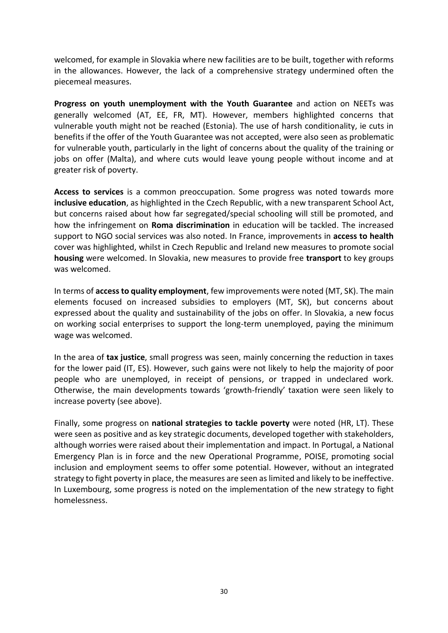welcomed, for example in Slovakia where new facilities are to be built, together with reforms in the allowances. However, the lack of a comprehensive strategy undermined often the piecemeal measures.

**Progress on youth unemployment with the Youth Guarantee** and action on NEETs was generally welcomed (AT, EE, FR, MT). However, members highlighted concerns that vulnerable youth might not be reached (Estonia). The use of harsh conditionality, ie cuts in benefits if the offer of the Youth Guarantee was not accepted, were also seen as problematic for vulnerable youth, particularly in the light of concerns about the quality of the training or jobs on offer (Malta), and where cuts would leave young people without income and at greater risk of poverty.

**Access to services** is a common preoccupation. Some progress was noted towards more **inclusive education**, as highlighted in the Czech Republic, with a new transparent School Act, but concerns raised about how far segregated/special schooling will still be promoted, and how the infringement on **Roma discrimination** in education will be tackled. The increased support to NGO social services was also noted. In France, improvements in **access to health** cover was highlighted, whilst in Czech Republic and Ireland new measures to promote social **housing** were welcomed. In Slovakia, new measures to provide free **transport** to key groups was welcomed.

In terms of **access to quality employment**, few improvements were noted (MT, SK). The main elements focused on increased subsidies to employers (MT, SK), but concerns about expressed about the quality and sustainability of the jobs on offer. In Slovakia, a new focus on working social enterprises to support the long-term unemployed, paying the minimum wage was welcomed.

In the area of **tax justice**, small progress was seen, mainly concerning the reduction in taxes for the lower paid (IT, ES). However, such gains were not likely to help the majority of poor people who are unemployed, in receipt of pensions, or trapped in undeclared work. Otherwise, the main developments towards 'growth-friendly' taxation were seen likely to increase poverty (see above).

Finally, some progress on **national strategies to tackle poverty** were noted (HR, LT). These were seen as positive and as key strategic documents, developed together with stakeholders, although worries were raised about their implementation and impact. In Portugal, a National Emergency Plan is in force and the new Operational Programme, POISE, promoting social inclusion and employment seems to offer some potential. However, without an integrated strategy to fight poverty in place, the measures are seen as limited and likely to be ineffective. In Luxembourg, some progress is noted on the implementation of the new strategy to fight homelessness.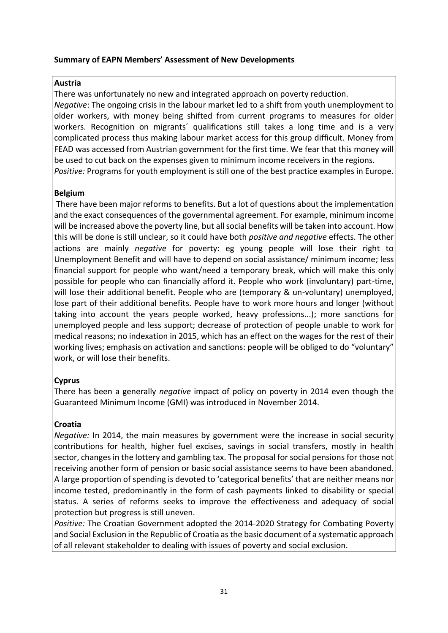#### **Summary of EAPN Members' Assessment of New Developments**

#### **Austria**

There was unfortunately no new and integrated approach on poverty reduction. *Negative*: The ongoing crisis in the labour market led to a shift from youth unemployment to older workers, with money being shifted from current programs to measures for older workers. Recognition on migrants' qualifications still takes a long time and is a very complicated process thus making labour market access for this group difficult. Money from FEAD was accessed from Austrian government for the first time. We fear that this money will be used to cut back on the expenses given to minimum income receivers in the regions. *Positive:* Programs for youth employment is still one of the best practice examples in Europe.

#### **Belgium**

There have been major reforms to benefits. But a lot of questions about the implementation and the exact consequences of the governmental agreement. For example, minimum income will be increased above the poverty line, but all social benefits will be taken into account. How this will be done is still unclear, so it could have both *positive and negative* effects. The other actions are mainly *negative* for poverty: eg young people will lose their right to Unemployment Benefit and will have to depend on social assistance/ minimum income; less financial support for people who want/need a temporary break, which will make this only possible for people who can financially afford it. People who work (involuntary) part-time, will lose their additional benefit. People who are (temporary & un-voluntary) unemployed, lose part of their additional benefits. People have to work more hours and longer (without taking into account the years people worked, heavy professions...); more sanctions for unemployed people and less support; decrease of protection of people unable to work for medical reasons; no indexation in 2015, which has an effect on the wages for the rest of their working lives; emphasis on activation and sanctions: people will be obliged to do "voluntary" work, or will lose their benefits.

## **Cyprus**

There has been a generally *negative* impact of policy on poverty in 2014 even though the Guaranteed Minimum Income (GMI) was introduced in November 2014.

## **Croatia**

*Negative:* In 2014, the main measures by government were the increase in social security contributions for health, higher fuel excises, savings in social transfers, mostly in health sector, changes in the lottery and gambling tax. The proposal for social pensions for those not receiving another form of pension or basic social assistance seems to have been abandoned. A large proportion of spending is devoted to 'categorical benefits' that are neither means nor income tested, predominantly in the form of cash payments linked to disability or special status. A series of reforms seeks to improve the effectiveness and adequacy of social protection but progress is still uneven.

*Positive:* The Croatian Government adopted the 2014-2020 Strategy for Combating Poverty and Social Exclusion in the Republic of Croatia as the basic document of a systematic approach of all relevant stakeholder to dealing with issues of poverty and social exclusion.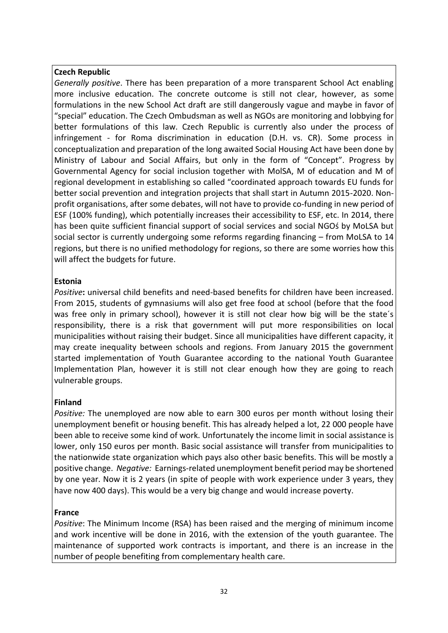## **Czech Republic**

*Generally positive*. There has been preparation of a more transparent School Act enabling more inclusive education. The concrete outcome is still not clear, however, as some formulations in the new School Act draft are still dangerously vague and maybe in favor of "special" education. The Czech Ombudsman as well as NGOs are monitoring and lobbying for better formulations of this law. Czech Republic is currently also under the process of infringement - for Roma discrimination in education (D.H. vs. CR). Some process in conceptualization and preparation of the long awaited Social Housing Act have been done by Ministry of Labour and Social Affairs, but only in the form of "Concept". Progress by Governmental Agency for social inclusion together with MolSA, M of education and M of regional development in establishing so called "coordinated approach towards EU funds for better social prevention and integration projects that shall start in Autumn 2015-2020. Nonprofit organisations, after some debates, will not have to provide co-funding in new period of ESF (100% funding), which potentially increases their accessibility to ESF, etc. In 2014, there has been quite sufficient financial support of social services and social NGOś by MoLSA but social sector is currently undergoing some reforms regarding financing – from MoLSA to 14 regions, but there is no unified methodology for regions, so there are some worries how this will affect the budgets for future.

## **Estonia**

*Positive***:** universal child benefits and need-based benefits for children have been increased. From 2015, students of gymnasiums will also get free food at school (before that the food was free only in primary school), however it is still not clear how big will be the state´s responsibility, there is a risk that government will put more responsibilities on local municipalities without raising their budget. Since all municipalities have different capacity, it may create inequality between schools and regions. From January 2015 the government started implementation of Youth Guarantee according to the national Youth Guarantee Implementation Plan, however it is still not clear enough how they are going to reach vulnerable groups.

## **Finland**

*Positive:* The unemployed are now able to earn 300 euros per month without losing their unemployment benefit or housing benefit. This has already helped a lot, 22 000 people have been able to receive some kind of work. Unfortunately the income limit in social assistance is lower, only 150 euros per month. Basic social assistance will transfer from municipalities to the nationwide state organization which pays also other basic benefits. This will be mostly a positive change. *Negative:* Earnings-related unemployment benefit period may be shortened by one year. Now it is 2 years (in spite of people with work experience under 3 years, they have now 400 days). This would be a very big change and would increase poverty.

## **France**

*Positive*: The Minimum Income (RSA) has been raised and the merging of minimum income and work incentive will be done in 2016, with the extension of the youth guarantee. The maintenance of supported work contracts is important, and there is an increase in the number of people benefiting from complementary health care.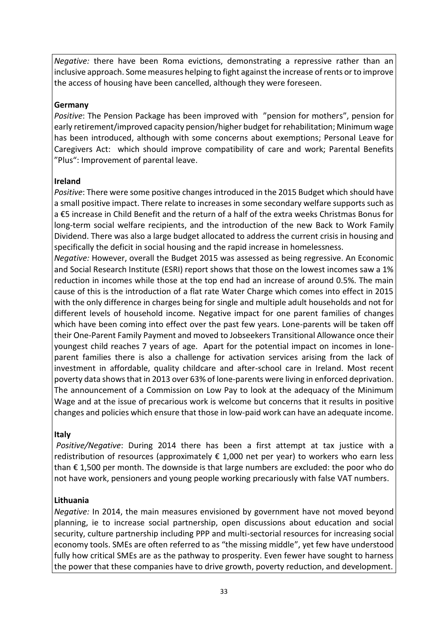*Negative:* there have been Roma evictions, demonstrating a repressive rather than an inclusive approach. Some measures helping to fight against the increase of rents or to improve the access of housing have been cancelled, although they were foreseen.

## **Germany**

*Positive*: The Pension Package has been improved with "pension for mothers", pension for early retirement/improved capacity pension/higher budget for rehabilitation; Minimum wage has been introduced, although with some concerns about exemptions; Personal Leave for Caregivers Act: which should improve compatibility of care and work; Parental Benefits "Plus": Improvement of parental leave.

## **Ireland**

*Positive*: There were some positive changes introduced in the 2015 Budget which should have a small positive impact. There relate to increases in some secondary welfare supports such as a €5 increase in Child Benefit and the return of a half of the extra weeks Christmas Bonus for long-term social welfare recipients, and the introduction of the new Back to Work Family Dividend. There was also a large budget allocated to address the current crisis in housing and specifically the deficit in social housing and the rapid increase in homelessness.

*Negative:* However, overall the Budget 2015 was assessed as being regressive. An Economic and Social Research Institute (ESRI) report shows that those on the lowest incomes saw a 1% reduction in incomes while those at the top end had an increase of around 0.5%. The main cause of this is the introduction of a flat rate Water Charge which comes into effect in 2015 with the only difference in charges being for single and multiple adult households and not for different levels of household income. Negative impact for one parent families of changes which have been coming into effect over the past few years. Lone-parents will be taken off their One-Parent Family Payment and moved to Jobseekers Transitional Allowance once their youngest child reaches 7 years of age. Apart for the potential impact on incomes in loneparent families there is also a challenge for activation services arising from the lack of investment in affordable, quality childcare and after-school care in Ireland. Most recent poverty data shows that in 2013 over 63% of lone-parents were living in enforced deprivation. The announcement of a Commission on Low Pay to look at the adequacy of the Minimum Wage and at the issue of precarious work is welcome but concerns that it results in positive changes and policies which ensure that those in low-paid work can have an adequate income.

# **Italy**

*Positive/Negative*: During 2014 there has been a first attempt at tax justice with a redistribution of resources (approximately  $\epsilon$  1,000 net per year) to workers who earn less than  $\epsilon$  1,500 per month. The downside is that large numbers are excluded: the poor who do not have work, pensioners and young people working precariously with false VAT numbers.

# **Lithuania**

*Negative:* In 2014, the main measures envisioned by government have not moved beyond planning, ie to increase social partnership, open discussions about education and social security, culture partnership including PPP and multi-sectorial resources for increasing social economy tools. SMEs are often referred to as "the missing middle", yet few have understood fully how critical SMEs are as the pathway to prosperity. Even fewer have sought to harness the power that these companies have to drive growth, poverty reduction, and development.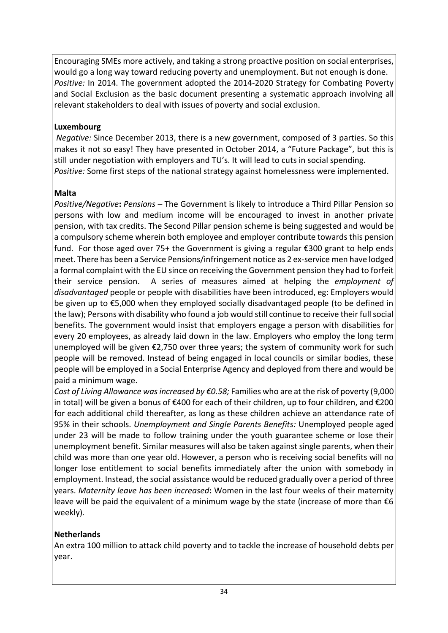Encouraging SMEs more actively, and taking a strong proactive position on social enterprises, would go a long way toward reducing poverty and unemployment. But not enough is done. *Positive:* In 2014. The government adopted the 2014-2020 Strategy for Combating Poverty and Social Exclusion as the basic document presenting a systematic approach involving all relevant stakeholders to deal with issues of poverty and social exclusion.

# **Luxembourg**

*Negative:* Since December 2013, there is a new government, composed of 3 parties. So this makes it not so easy! They have presented in October 2014, a "Future Package", but this is still under negotiation with employers and TU's. It will lead to cuts in social spending. *Positive:* Some first steps of the national strategy against homelessness were implemented.

# **Malta**

*Positive/Negative***:** *Pensions –* The Government is likely to introduce a Third Pillar Pension so persons with low and medium income will be encouraged to invest in another private pension, with tax credits. The Second Pillar pension scheme is being suggested and would be a compulsory scheme wherein both employee and employer contribute towards this pension fund. For those aged over 75+ the Government is giving a regular  $\epsilon$ 300 grant to help ends meet. There has been a Service Pensions/infringement notice as 2 ex-service men have lodged a formal complaint with the EU since on receiving the Government pension they had to forfeit their service pension. A series of measures aimed at helping the *employment of disadvantaged* people or people with disabilities have been introduced, eg: Employers would be given up to €5,000 when they employed socially disadvantaged people (to be defined in the law); Persons with disability who found a job would still continue to receive their full social benefits. The government would insist that employers engage a person with disabilities for every 20 employees, as already laid down in the law. Employers who employ the long term unemployed will be given  $\epsilon$ 2,750 over three years; the system of community work for such people will be removed. Instead of being engaged in local councils or similar bodies, these people will be employed in a Social Enterprise Agency and deployed from there and would be paid a minimum wage.

*Cost of Living Allowance was increased by €0.58;* Families who are at the risk of poverty (9,000 in total) will be given a bonus of €400 for each of their children, up to four children, and €200 for each additional child thereafter, as long as these children achieve an attendance rate of 95% in their schools. *Unemployment and Single Parents Benefits:* Unemployed people aged under 23 will be made to follow training under the youth guarantee scheme or lose their unemployment benefit. Similar measures will also be taken against single parents, when their child was more than one year old. However, a person who is receiving social benefits will no longer lose entitlement to social benefits immediately after the union with somebody in employment. Instead, the social assistance would be reduced gradually over a period of three years. *Maternity leave has been increased***:** Women in the last four weeks of their maternity leave will be paid the equivalent of a minimum wage by the state (increase of more than  $\epsilon$ 6 weekly).

# **Netherlands**

An extra 100 million to attack child poverty and to tackle the increase of household debts per year.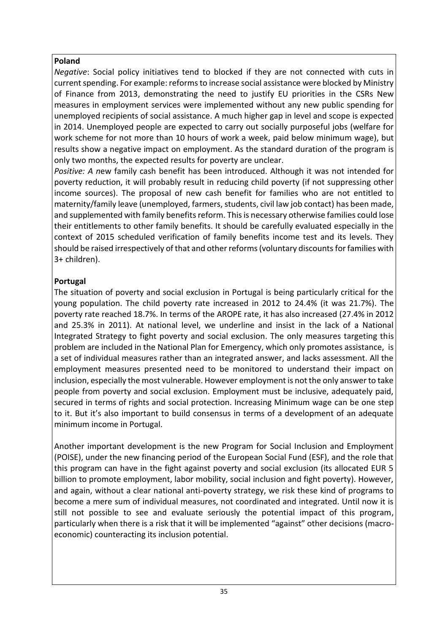# **Poland**

*Negative*: Social policy initiatives tend to blocked if they are not connected with cuts in current spending. For example: reforms to increase social assistance were blocked by Ministry of Finance from 2013, demonstrating the need to justify EU priorities in the CSRs New measures in employment services were implemented without any new public spending for unemployed recipients of social assistance. A much higher gap in level and scope is expected in 2014. Unemployed people are expected to carry out socially purposeful jobs (welfare for work scheme for not more than 10 hours of work a week, paid below minimum wage), but results show a negative impact on employment. As the standard duration of the program is only two months, the expected results for poverty are unclear.

*Positive: A n*ew family cash benefit has been introduced. Although it was not intended for poverty reduction, it will probably result in reducing child poverty (if not suppressing other income sources). The proposal of new cash benefit for families who are not entitled to maternity/family leave (unemployed, farmers, students, civil law job contact) has been made, and supplemented with family benefits reform. This is necessary otherwise families could lose their entitlements to other family benefits. It should be carefully evaluated especially in the context of 2015 scheduled verification of family benefits income test and its levels. They should be raised irrespectively of that and other reforms (voluntary discounts for families with 3+ children).

# **Portugal**

The situation of poverty and social exclusion in Portugal is being particularly critical for the young population. The child poverty rate increased in 2012 to 24.4% (it was 21.7%). The poverty rate reached 18.7%. In terms of the AROPE rate, it has also increased (27.4% in 2012 and 25.3% in 2011). At national level, we underline and insist in the lack of a National Integrated Strategy to fight poverty and social exclusion. The only measures targeting this problem are included in the National Plan for Emergency, which only promotes assistance, is a set of individual measures rather than an integrated answer, and lacks assessment. All the employment measures presented need to be monitored to understand their impact on inclusion, especially the most vulnerable. However employment is not the only answer to take people from poverty and social exclusion. Employment must be inclusive, adequately paid, secured in terms of rights and social protection. Increasing Minimum wage can be one step to it. But it's also important to build consensus in terms of a development of an adequate minimum income in Portugal.

Another important development is the new Program for Social Inclusion and Employment (POISE), under the new financing period of the European Social Fund (ESF), and the role that this program can have in the fight against poverty and social exclusion (its allocated EUR 5 billion to promote employment, labor mobility, social inclusion and fight poverty). However, and again, without a clear national anti-poverty strategy, we risk these kind of programs to become a mere sum of individual measures, not coordinated and integrated. Until now it is still not possible to see and evaluate seriously the potential impact of this program, particularly when there is a risk that it will be implemented "against" other decisions (macroeconomic) counteracting its inclusion potential.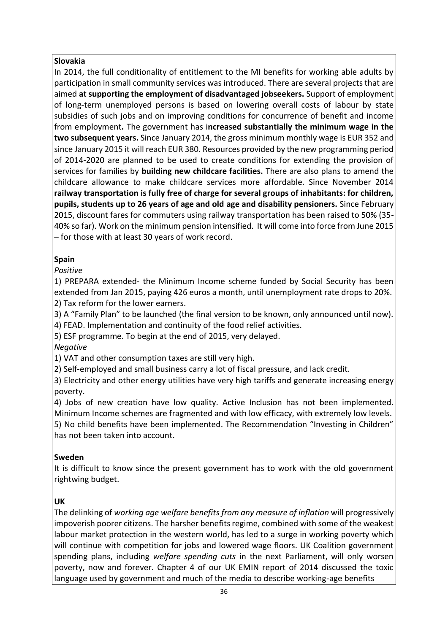# **Slovakia**

In 2014, the full conditionality of entitlement to the MI benefits for working able adults by participation in small community services was introduced. There are several projects that are aimed **at supporting the employment of disadvantaged jobseekers.** Support of employment of long-term unemployed persons is based on lowering overall costs of labour by state subsidies of such jobs and on improving conditions for concurrence of benefit and income from employment**.** The government has i**ncreased substantially the minimum wage in the two subsequent years.** Since January 2014, the gross minimum monthly wage is EUR 352 and since January 2015 it will reach EUR 380. Resources provided by the new programming period of 2014-2020 are planned to be used to create conditions for extending the provision of services for families by **building new childcare facilities.** There are also plans to amend the childcare allowance to make childcare services more affordable. Since November 2014 **railway transportation is fully free of charge for several groups of inhabitants: for children, pupils, students up to 26 years of age and old age and disability pensioners.** Since February 2015, discount fares for commuters using railway transportation has been raised to 50% (35- 40% so far). Work on the minimum pension intensified. It will come into force from June 2015 – for those with at least 30 years of work record.

# **Spain**

*Positive*

1) PREPARA extended- the Minimum Income scheme funded by Social Security has been extended from Jan 2015, paying 426 euros a month, until unemployment rate drops to 20%. 2) Tax reform for the lower earners.

3) A "Family Plan" to be launched (the final version to be known, only announced until now).

4) FEAD. Implementation and continuity of the food relief activities.

5) ESF programme. To begin at the end of 2015, very delayed.

*Negative*

1) VAT and other consumption taxes are still very high.

2) Self-employed and small business carry a lot of fiscal pressure, and lack credit.

3) Electricity and other energy utilities have very high tariffs and generate increasing energy poverty.

4) Jobs of new creation have low quality. Active Inclusion has not been implemented. Minimum Income schemes are fragmented and with low efficacy, with extremely low levels. 5) No child benefits have been implemented. The Recommendation "Investing in Children" has not been taken into account.

# **Sweden**

It is difficult to know since the present government has to work with the old government rightwing budget.

# **UK**

The delinking of *working age welfare benefits from any measure of inflation* will progressively impoverish poorer citizens. The harsher benefits regime, combined with some of the weakest labour market protection in the western world, has led to a surge in working poverty which will continue with competition for jobs and lowered wage floors. UK Coalition government spending plans, including *welfare spending cuts* in the next Parliament, will only worsen poverty, now and forever. Chapter 4 of our UK EMIN report of 2014 discussed the toxic language used by government and much of the media to describe working-age benefits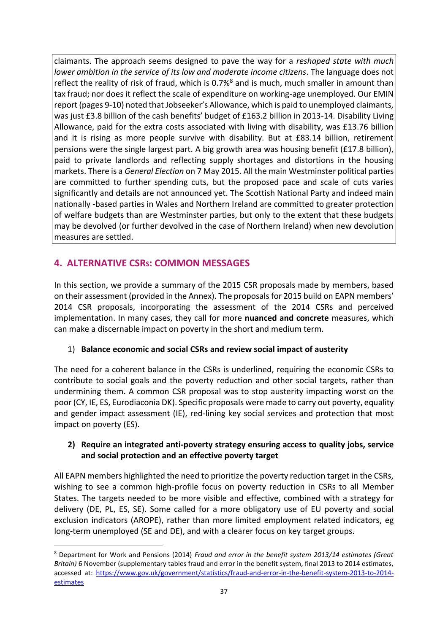claimants. The approach seems designed to pave the way for a *reshaped state with much lower ambition in the service of its low and moderate income citizens*. The language does not reflect the reality of risk of fraud, which is 0.7%<sup>8</sup> and is much, much smaller in amount than tax fraud; nor does it reflect the scale of expenditure on working-age unemployed. Our EMIN report (pages 9-10) noted that Jobseeker's Allowance, which is paid to unemployed claimants, was just £3.8 billion of the cash benefits' budget of £163.2 billion in 2013-14. Disability Living Allowance, paid for the extra costs associated with living with disability, was £13.76 billion and it is rising as more people survive with disability. But at £83.14 billion, retirement pensions were the single largest part. A big growth area was housing benefit (£17.8 billion), paid to private landlords and reflecting supply shortages and distortions in the housing markets. There is a *General Election* on 7 May 2015. All the main Westminster political parties are committed to further spending cuts, but the proposed pace and scale of cuts varies significantly and details are not announced yet. The Scottish National Party and indeed main nationally -based parties in Wales and Northern Ireland are committed to greater protection of welfare budgets than are Westminster parties, but only to the extent that these budgets may be devolved (or further devolved in the case of Northern Ireland) when new devolution measures are settled.

# **4. ALTERNATIVE CSRS: COMMON MESSAGES**

**.** 

In this section, we provide a summary of the 2015 CSR proposals made by members, based on their assessment (provided in the Annex). The proposals for 2015 build on EAPN members' 2014 CSR proposals, incorporating the assessment of the 2014 CSRs and perceived implementation. In many cases, they call for more **nuanced and concrete** measures, which can make a discernable impact on poverty in the short and medium term.

# 1) **Balance economic and social CSRs and review social impact of austerity**

The need for a coherent balance in the CSRs is underlined, requiring the economic CSRs to contribute to social goals and the poverty reduction and other social targets, rather than undermining them. A common CSR proposal was to stop austerity impacting worst on the poor (CY, IE, ES, Eurodiaconia DK). Specific proposals were made to carry out poverty, equality and gender impact assessment (IE), red-lining key social services and protection that most impact on poverty (ES).

# **2) Require an integrated anti-poverty strategy ensuring access to quality jobs, service and social protection and an effective poverty target**

All EAPN members highlighted the need to prioritize the poverty reduction target in the CSRs, wishing to see a common high-profile focus on poverty reduction in CSRs to all Member States. The targets needed to be more visible and effective, combined with a strategy for delivery (DE, PL, ES, SE). Some called for a more obligatory use of EU poverty and social exclusion indicators (AROPE), rather than more limited employment related indicators, eg long-term unemployed (SE and DE), and with a clearer focus on key target groups.

<sup>8</sup> Department for Work and Pensions (2014) *Fraud and error in the benefit system 2013/14 estimates (Great Britain)* 6 November (supplementary tables fraud and error in the benefit system, final 2013 to 2014 estimates, accessed at: [https://www.gov.uk/government/statistics/fraud-and-error-in-the-benefit-system-2013-to-2014](https://www.gov.uk/government/statistics/fraud-and-error-in-the-benefit-system-2013-to-2014-estimates) **[estimates](https://www.gov.uk/government/statistics/fraud-and-error-in-the-benefit-system-2013-to-2014-estimates)**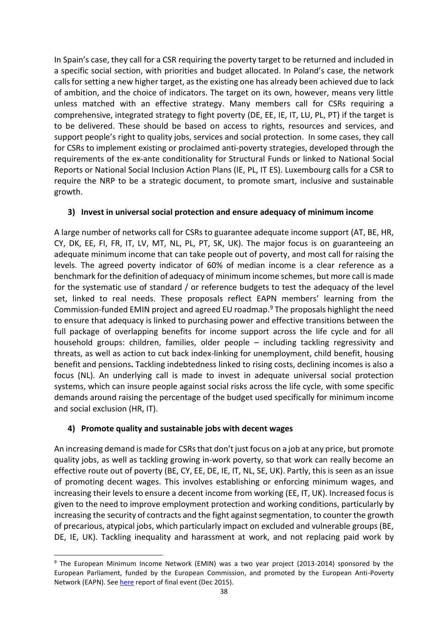In Spain's case, they call for a CSR requiring the poverty target to be returned and included in a specific social section, with priorities and budget allocated. In Poland's case, the network calls for setting a new higher target, as the existing one has already been achieved due to lack of ambition, and the choice of indicators. The target on its own, however, means very little unless matched with an effective strategy. Many members call for CSRs requiring a comprehensive, integrated strategy to fight poverty (DE, EE, IE, IT, LU, PL, PT) if the target is to be delivered. These should be based on access to rights, resources and services, and support people's right to quality jobs, services and social protection. In some cases, they call for CSRs to implement existing or proclaimed anti-poverty strategies, developed through the requirements of the ex-ante conditionality for Structural Funds or linked to National Social Reports or National Social Inclusion Action Plans (IE, PL, IT ES). Luxembourg calls for a CSR to require the NRP to be a strategic document, to promote smart, inclusive and sustainable growth.

## **3) Invest in universal social protection and ensure adequacy of minimum income**

A large number of networks call for CSRs to guarantee adequate income support (AT, BE, HR, CY, DK, EE, FI, FR, IT, LV, MT, NL, PL, PT, SK, UK). The major focus is on guaranteeing an adequate minimum income that can take people out of poverty, and most call for raising the levels. The agreed poverty indicator of 60% of median income is a clear reference as a benchmark for the definition of adequacy of minimum income schemes, but more call is made for the systematic use of standard / or reference budgets to test the adequacy of the level set, linked to real needs. These proposals reflect EAPN members' learning from the Commission-funded EMIN project and agreed EU roadmap.<sup>9</sup> The proposals highlight the need to ensure that adequacy is linked to purchasing power and effective transitions between the full package of overlapping benefits for income support across the life cycle and for all household groups: children, families, older people – including tackling regressivity and threats, as well as action to cut back index-linking for unemployment, child benefit, housing benefit and pensions**.** Tackling indebtedness linked to rising costs, declining incomes is also a focus (NL). An underlying call is made to invest in adequate universal social protection systems, which can insure people against social risks across the life cycle, with some specific demands around raising the percentage of the budget used specifically for minimum income and social exclusion (HR, IT).

## **4) Promote quality and sustainable jobs with decent wages**

-

An increasing demand is made for CSRs that don't just focus on a job at any price, but promote quality jobs, as well as tackling growing in-work poverty, so that work can really become an effective route out of poverty (BE, CY, EE, DE, IE, IT, NL, SE, UK). Partly, this is seen as an issue of promoting decent wages. This involves establishing or enforcing minimum wages, and increasing their levels to ensure a decent income from working (EE, IT, UK). Increased focus is given to the need to improve employment protection and working conditions, particularly by increasing the security of contracts and the fight against segmentation, to counter the growth of precarious, atypical jobs, which particularly impact on excluded and vulnerable groups (BE, DE, IE, UK). Tackling inequality and harassment at work, and not replacing paid work by

<sup>&</sup>lt;sup>9</sup> The European Minimum Income Network (EMIN) was a two year project (2013-2014) sponsored by the European Parliament, funded by the European Commission, and promoted by the European Anti-Poverty Network (EAPN). Se[e here](http://www.eapn.eu/en/news-and-publications/press-room/eapn-press-releases/growing-momentum-for-action-on-adequate-minimum-income-schemes) report of final event (Dec 2015).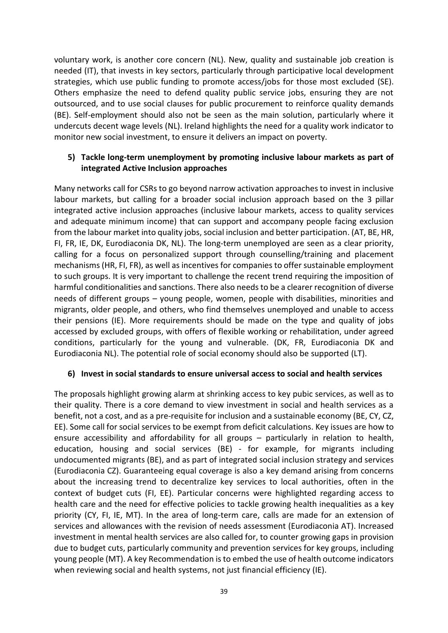voluntary work, is another core concern (NL). New, quality and sustainable job creation is needed (IT), that invests in key sectors, particularly through participative local development strategies, which use public funding to promote access/jobs for those most excluded (SE). Others emphasize the need to defend quality public service jobs, ensuring they are not outsourced, and to use social clauses for public procurement to reinforce quality demands (BE). Self-employment should also not be seen as the main solution, particularly where it undercuts decent wage levels (NL). Ireland highlights the need for a quality work indicator to monitor new social investment, to ensure it delivers an impact on poverty.

#### **5) Tackle long-term unemployment by promoting inclusive labour markets as part of integrated Active Inclusion approaches**

Many networks call for CSRs to go beyond narrow activation approaches to invest in inclusive labour markets, but calling for a broader social inclusion approach based on the 3 pillar integrated active inclusion approaches (inclusive labour markets, access to quality services and adequate minimum income) that can support and accompany people facing exclusion from the labour market into quality jobs, social inclusion and better participation. (AT, BE, HR, FI, FR, IE, DK, Eurodiaconia DK, NL). The long-term unemployed are seen as a clear priority, calling for a focus on personalized support through counselling/training and placement mechanisms (HR, FI, FR), as well as incentives for companies to offer sustainable employment to such groups. It is very important to challenge the recent trend requiring the imposition of harmful conditionalities and sanctions. There also needs to be a clearer recognition of diverse needs of different groups – young people, women, people with disabilities, minorities and migrants, older people, and others, who find themselves unemployed and unable to access their pensions (IE). More requirements should be made on the type and quality of jobs accessed by excluded groups, with offers of flexible working or rehabilitation, under agreed conditions, particularly for the young and vulnerable. (DK, FR, Eurodiaconia DK and Eurodiaconia NL). The potential role of social economy should also be supported (LT).

## **6) Invest in social standards to ensure universal access to social and health services**

The proposals highlight growing alarm at shrinking access to key pubic services, as well as to their quality. There is a core demand to view investment in social and health services as a benefit, not a cost, and as a pre-requisite for inclusion and a sustainable economy (BE, CY, CZ, EE). Some call for social services to be exempt from deficit calculations. Key issues are how to ensure accessibility and affordability for all groups – particularly in relation to health, education, housing and social services (BE) - for example, for migrants including undocumented migrants (BE), and as part of integrated social inclusion strategy and services (Eurodiaconia CZ). Guaranteeing equal coverage is also a key demand arising from concerns about the increasing trend to decentralize key services to local authorities, often in the context of budget cuts (FI, EE). Particular concerns were highlighted regarding access to health care and the need for effective policies to tackle growing health inequalities as a key priority (CY, FI, IE, MT). In the area of long-term care, calls are made for an extension of services and allowances with the revision of needs assessment (Eurodiaconia AT). Increased investment in mental health services are also called for, to counter growing gaps in provision due to budget cuts, particularly community and prevention services for key groups, including young people (MT). A key Recommendation is to embed the use of health outcome indicators when reviewing social and health systems, not just financial efficiency (IE).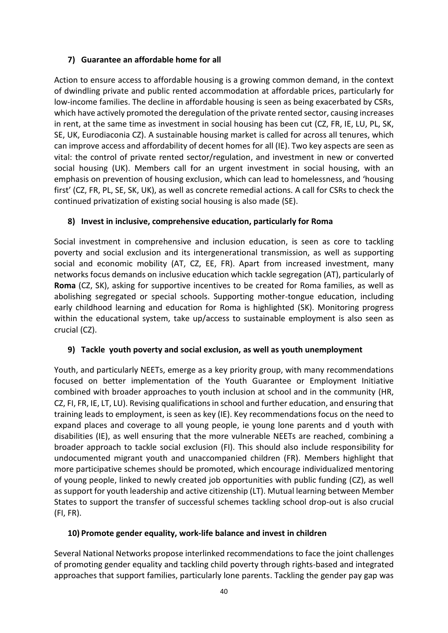# **7) Guarantee an affordable home for all**

Action to ensure access to affordable housing is a growing common demand, in the context of dwindling private and public rented accommodation at affordable prices, particularly for low-income families. The decline in affordable housing is seen as being exacerbated by CSRs, which have actively promoted the deregulation of the private rented sector, causing increases in rent, at the same time as investment in social housing has been cut (CZ, FR, IE, LU, PL, SK, SE, UK, Eurodiaconia CZ). A sustainable housing market is called for across all tenures, which can improve access and affordability of decent homes for all (IE). Two key aspects are seen as vital: the control of private rented sector/regulation, and investment in new or converted social housing (UK). Members call for an urgent investment in social housing, with an emphasis on prevention of housing exclusion, which can lead to homelessness, and 'housing first' (CZ, FR, PL, SE, SK, UK), as well as concrete remedial actions. A call for CSRs to check the continued privatization of existing social housing is also made (SE).

# **8) Invest in inclusive, comprehensive education, particularly for Roma**

Social investment in comprehensive and inclusion education, is seen as core to tackling poverty and social exclusion and its intergenerational transmission, as well as supporting social and economic mobility (AT, CZ, EE, FR). Apart from increased investment, many networks focus demands on inclusive education which tackle segregation (AT), particularly of **Roma** (CZ, SK), asking for supportive incentives to be created for Roma families, as well as abolishing segregated or special schools. Supporting mother-tongue education, including early childhood learning and education for Roma is highlighted (SK). Monitoring progress within the educational system, take up/access to sustainable employment is also seen as crucial (CZ).

## **9) Tackle youth poverty and social exclusion, as well as youth unemployment**

Youth, and particularly NEETs, emerge as a key priority group, with many recommendations focused on better implementation of the Youth Guarantee or Employment Initiative combined with broader approaches to youth inclusion at school and in the community (HR, CZ, FI, FR, IE, LT, LU). Revising qualifications in school and further education, and ensuring that training leads to employment, is seen as key (IE). Key recommendations focus on the need to expand places and coverage to all young people, ie young lone parents and d youth with disabilities (IE), as well ensuring that the more vulnerable NEETs are reached, combining a broader approach to tackle social exclusion (FI). This should also include responsibility for undocumented migrant youth and unaccompanied children (FR). Members highlight that more participative schemes should be promoted, which encourage individualized mentoring of young people, linked to newly created job opportunities with public funding (CZ), as well as support for youth leadership and active citizenship (LT). Mutual learning between Member States to support the transfer of successful schemes tackling school drop-out is also crucial (FI, FR).

## **10) Promote gender equality, work-life balance and invest in children**

Several National Networks propose interlinked recommendations to face the joint challenges of promoting gender equality and tackling child poverty through rights-based and integrated approaches that support families, particularly lone parents. Tackling the gender pay gap was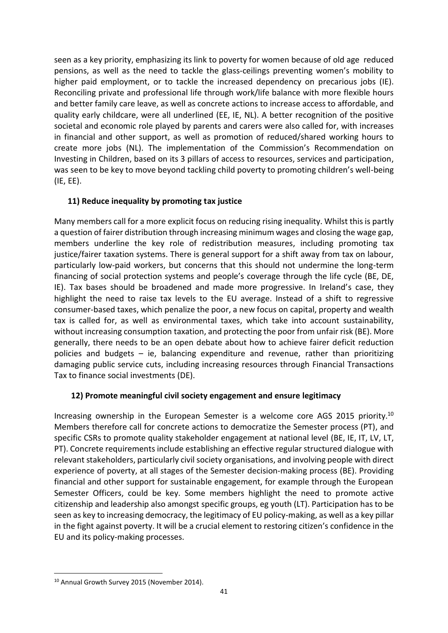seen as a key priority, emphasizing its link to poverty for women because of old age reduced pensions, as well as the need to tackle the glass-ceilings preventing women's mobility to higher paid employment, or to tackle the increased dependency on precarious jobs (IE). Reconciling private and professional life through work/life balance with more flexible hours and better family care leave, as well as concrete actions to increase access to affordable, and quality early childcare, were all underlined (EE, IE, NL). A better recognition of the positive societal and economic role played by parents and carers were also called for, with increases in financial and other support, as well as promotion of reduced/shared working hours to create more jobs (NL). The implementation of the Commission's Recommendation on Investing in Children, based on its 3 pillars of access to resources, services and participation, was seen to be key to move beyond tackling child poverty to promoting children's well-being (IE, EE).

# **11) Reduce inequality by promoting tax justice**

Many members call for a more explicit focus on reducing rising inequality. Whilst this is partly a question of fairer distribution through increasing minimum wages and closing the wage gap, members underline the key role of redistribution measures, including promoting tax justice/fairer taxation systems. There is general support for a shift away from tax on labour, particularly low-paid workers, but concerns that this should not undermine the long-term financing of social protection systems and people's coverage through the life cycle (BE, DE, IE). Tax bases should be broadened and made more progressive. In Ireland's case, they highlight the need to raise tax levels to the EU average. Instead of a shift to regressive consumer-based taxes, which penalize the poor, a new focus on capital, property and wealth tax is called for, as well as environmental taxes, which take into account sustainability, without increasing consumption taxation, and protecting the poor from unfair risk (BE). More generally, there needs to be an open debate about how to achieve fairer deficit reduction policies and budgets  $-$  ie, balancing expenditure and revenue, rather than prioritizing damaging public service cuts, including increasing resources through Financial Transactions Tax to finance social investments (DE).

## **12) Promote meaningful civil society engagement and ensure legitimacy**

Increasing ownership in the European Semester is a welcome core AGS 2015 priority.<sup>10</sup> Members therefore call for concrete actions to democratize the Semester process (PT), and specific CSRs to promote quality stakeholder engagement at national level (BE, IE, IT, LV, LT, PT). Concrete requirements include establishing an effective regular structured dialogue with relevant stakeholders, particularly civil society organisations, and involving people with direct experience of poverty, at all stages of the Semester decision-making process (BE). Providing financial and other support for sustainable engagement, for example through the European Semester Officers, could be key. Some members highlight the need to promote active citizenship and leadership also amongst specific groups, eg youth (LT). Participation has to be seen as key to increasing democracy, the legitimacy of EU policy-making, as well as a key pillar in the fight against poverty. It will be a crucial element to restoring citizen's confidence in the EU and its policy-making processes.

1

<sup>&</sup>lt;sup>10</sup> Annual Growth Survey 2015 (November 2014).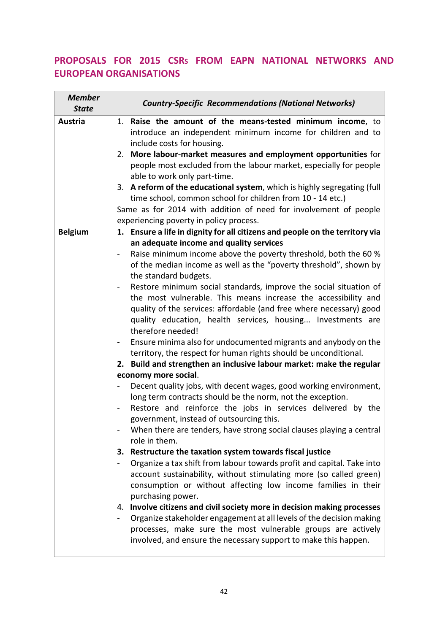# **PROPOSALS FOR 2015 CSRS FROM EAPN NATIONAL NETWORKS AND EUROPEAN ORGANISATIONS**

| <b>Member</b><br><b>State</b> | <b>Country-Specific Recommendations (National Networks)</b>                                                                                                                                                                                                                                                                                                                                                                                                                                                                                                                                                                                                                                                                                                                                                                                                                                                                                                                                                                                                                                                                                                                                                                                                                                                                                                                                                                                                                                                                                                                                                                                                                                                                               |
|-------------------------------|-------------------------------------------------------------------------------------------------------------------------------------------------------------------------------------------------------------------------------------------------------------------------------------------------------------------------------------------------------------------------------------------------------------------------------------------------------------------------------------------------------------------------------------------------------------------------------------------------------------------------------------------------------------------------------------------------------------------------------------------------------------------------------------------------------------------------------------------------------------------------------------------------------------------------------------------------------------------------------------------------------------------------------------------------------------------------------------------------------------------------------------------------------------------------------------------------------------------------------------------------------------------------------------------------------------------------------------------------------------------------------------------------------------------------------------------------------------------------------------------------------------------------------------------------------------------------------------------------------------------------------------------------------------------------------------------------------------------------------------------|
| <b>Austria</b>                | 1. Raise the amount of the means-tested minimum income, to<br>introduce an independent minimum income for children and to<br>include costs for housing.<br>2. More labour-market measures and employment opportunities for<br>people most excluded from the labour market, especially for people<br>able to work only part-time.<br>3. A reform of the educational system, which is highly segregating (full<br>time school, common school for children from 10 - 14 etc.)<br>Same as for 2014 with addition of need for involvement of people<br>experiencing poverty in policy process.                                                                                                                                                                                                                                                                                                                                                                                                                                                                                                                                                                                                                                                                                                                                                                                                                                                                                                                                                                                                                                                                                                                                                 |
| <b>Belgium</b>                | 1. Ensure a life in dignity for all citizens and people on the territory via                                                                                                                                                                                                                                                                                                                                                                                                                                                                                                                                                                                                                                                                                                                                                                                                                                                                                                                                                                                                                                                                                                                                                                                                                                                                                                                                                                                                                                                                                                                                                                                                                                                              |
|                               | an adequate income and quality services<br>Raise minimum income above the poverty threshold, both the 60 %<br>of the median income as well as the "poverty threshold", shown by<br>the standard budgets.<br>Restore minimum social standards, improve the social situation of<br>$\qquad \qquad \blacksquare$<br>the most vulnerable. This means increase the accessibility and<br>quality of the services: affordable (and free where necessary) good<br>quality education, health services, housing Investments are<br>therefore needed!<br>Ensure minima also for undocumented migrants and anybody on the<br>territory, the respect for human rights should be unconditional.<br>2. Build and strengthen an inclusive labour market: make the regular<br>economy more social.<br>Decent quality jobs, with decent wages, good working environment,<br>long term contracts should be the norm, not the exception.<br>Restore and reinforce the jobs in services delivered by the<br>government, instead of outsourcing this.<br>When there are tenders, have strong social clauses playing a central<br>role in them.<br>Restructure the taxation system towards fiscal justice<br>З.<br>Organize a tax shift from labour towards profit and capital. Take into<br>$\blacksquare$<br>account sustainability, without stimulating more (so called green)<br>consumption or without affecting low income families in their<br>purchasing power.<br>Involve citizens and civil society more in decision making processes<br>4.<br>Organize stakeholder engagement at all levels of the decision making<br>processes, make sure the most vulnerable groups are actively<br>involved, and ensure the necessary support to make this happen. |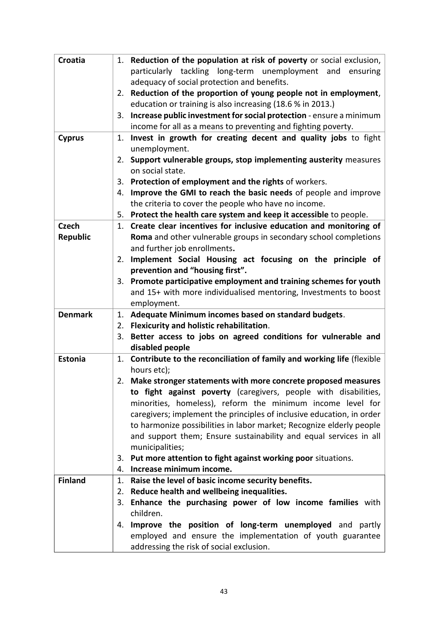| Croatia         | 1. Reduction of the population at risk of poverty or social exclusion,                 |
|-----------------|----------------------------------------------------------------------------------------|
|                 | particularly tackling long-term unemployment and ensuring                              |
|                 | adequacy of social protection and benefits.                                            |
|                 | 2. Reduction of the proportion of young people not in employment,                      |
|                 | education or training is also increasing (18.6 % in 2013.)                             |
|                 | Increase public investment for social protection - ensure a minimum<br>3.              |
|                 | income for all as a means to preventing and fighting poverty.                          |
| <b>Cyprus</b>   | Invest in growth for creating decent and quality jobs to fight<br>1.                   |
|                 | unemployment.                                                                          |
|                 | Support vulnerable groups, stop implementing austerity measures<br>2.                  |
|                 | on social state.                                                                       |
|                 | 3. Protection of employment and the rights of workers.                                 |
|                 | Improve the GMI to reach the basic needs of people and improve<br>4.                   |
|                 | the criteria to cover the people who have no income.                                   |
|                 | Protect the health care system and keep it accessible to people.<br>5.                 |
| <b>Czech</b>    | Create clear incentives for inclusive education and monitoring of<br>1.                |
| <b>Republic</b> | Roma and other vulnerable groups in secondary school completions                       |
|                 | and further job enrollments.                                                           |
|                 | Implement Social Housing act focusing on the principle of<br>2.                        |
|                 | prevention and "housing first".                                                        |
|                 | 3. Promote participative employment and training schemes for youth                     |
|                 | and 15+ with more individualised mentoring, Investments to boost                       |
|                 | employment.                                                                            |
| <b>Denmark</b>  | 1. Adequate Minimum incomes based on standard budgets.                                 |
|                 | 2. Flexicurity and holistic rehabilitation.                                            |
|                 | Better access to jobs on agreed conditions for vulnerable and<br>3.<br>disabled people |
| <b>Estonia</b>  | Contribute to the reconciliation of family and working life (flexible<br>1.            |
|                 | hours etc);                                                                            |
|                 | 2. Make stronger statements with more concrete proposed measures                       |
|                 | to fight against poverty (caregivers, people with disabilities,                        |
|                 | minorities, homeless), reform the minimum income level for                             |
|                 | caregivers; implement the principles of inclusive education, in order                  |
|                 | to harmonize possibilities in labor market; Recognize elderly people                   |
|                 | and support them; Ensure sustainability and equal services in all                      |
|                 | municipalities;                                                                        |
|                 | Put more attention to fight against working poor situations.<br>3.                     |
|                 | Increase minimum income.<br>4.                                                         |
| <b>Finland</b>  | Raise the level of basic income security benefits.<br>1.                               |
|                 | Reduce health and wellbeing inequalities.<br>2.                                        |
|                 | Enhance the purchasing power of low income families with<br>3.                         |
|                 | children.                                                                              |
|                 | Improve the position of long-term unemployed and partly<br>4.                          |
|                 | employed and ensure the implementation of youth guarantee                              |
|                 | addressing the risk of social exclusion.                                               |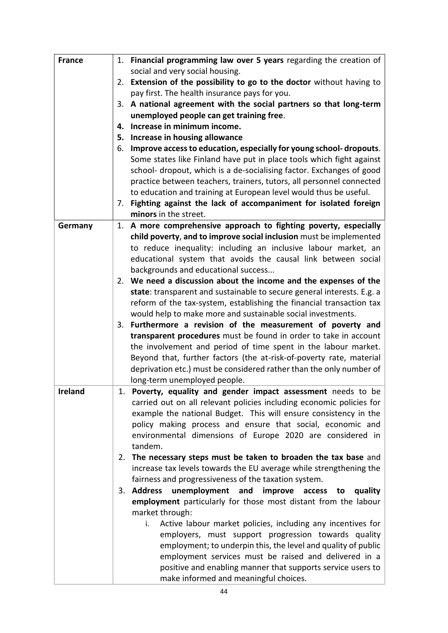| <b>France</b>  | 1. Financial programming law over 5 years regarding the creation of                                                                          |
|----------------|----------------------------------------------------------------------------------------------------------------------------------------------|
|                | social and very social housing.                                                                                                              |
|                | 2. Extension of the possibility to go to the doctor without having to                                                                        |
|                | pay first. The health insurance pays for you.                                                                                                |
|                | A national agreement with the social partners so that long-term<br>3.                                                                        |
|                | unemployed people can get training free.                                                                                                     |
|                | Increase in minimum income.<br>4.                                                                                                            |
|                | 5. Increase in housing allowance                                                                                                             |
|                | 6. Improve access to education, especially for young school-dropouts.                                                                        |
|                | Some states like Finland have put in place tools which fight against<br>school- dropout, which is a de-socialising factor. Exchanges of good |
|                | practice between teachers, trainers, tutors, all personnel connected                                                                         |
|                | to education and training at European level would thus be useful.                                                                            |
|                | Fighting against the lack of accompaniment for isolated foreign<br>7.                                                                        |
|                | minors in the street.                                                                                                                        |
| Germany        | 1. A more comprehensive approach to fighting poverty, especially                                                                             |
|                | child poverty, and to improve social inclusion must be implemented                                                                           |
|                | to reduce inequality: including an inclusive labour market, an                                                                               |
|                | educational system that avoids the causal link between social                                                                                |
|                | backgrounds and educational success                                                                                                          |
|                | 2. We need a discussion about the income and the expenses of the                                                                             |
|                | state: transparent and sustainable to secure general interests. E.g. a                                                                       |
|                | reform of the tax-system, establishing the financial transaction tax                                                                         |
|                | would help to make more and sustainable social investments.                                                                                  |
|                | 3. Furthermore a revision of the measurement of poverty and                                                                                  |
|                | transparent procedures must be found in order to take in account                                                                             |
|                | the involvement and period of time spent in the labour market.                                                                               |
|                | Beyond that, further factors (the at-risk-of-poverty rate, material<br>deprivation etc.) must be considered rather than the only number of   |
|                | long-term unemployed people.                                                                                                                 |
| <b>Ireland</b> | 1. Poverty, equality and gender impact assessment needs to be                                                                                |
|                | carried out on all relevant policies including economic policies for                                                                         |
|                | example the national Budget. This will ensure consistency in the                                                                             |
|                | policy making process and ensure that social, economic and                                                                                   |
|                | environmental dimensions of Europe 2020 are considered in                                                                                    |
|                | tandem.                                                                                                                                      |
|                | 2. The necessary steps must be taken to broaden the tax base and                                                                             |
|                | increase tax levels towards the EU average while strengthening the                                                                           |
|                | fairness and progressiveness of the taxation system.                                                                                         |
|                | 3. Address<br>unemployment and improve access to<br>quality                                                                                  |
|                | employment particularly for those most distant from the labour                                                                               |
|                | market through:                                                                                                                              |
|                | Active labour market policies, including any incentives for<br>i.                                                                            |
|                | employers, must support progression towards quality                                                                                          |
|                | employment; to underpin this, the level and quality of public                                                                                |
|                | employment services must be raised and delivered in a<br>positive and enabling manner that supports service users to                         |
|                | make informed and meaningful choices.                                                                                                        |
|                |                                                                                                                                              |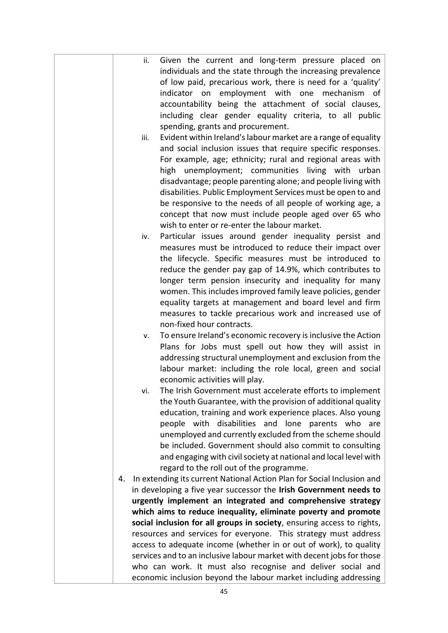| Given the current and long-term pressure placed on<br>ii.                    |
|------------------------------------------------------------------------------|
| individuals and the state through the increasing prevalence                  |
| of low paid, precarious work, there is need for a 'quality'                  |
| indicator on employment with one mechanism of                                |
| accountability being the attachment of social clauses,                       |
| including clear gender equality criteria, to all public                      |
| spending, grants and procurement.                                            |
| Evident within Ireland's labour market are a range of equality<br>iii.       |
| and social inclusion issues that require specific responses.                 |
|                                                                              |
| For example, age; ethnicity; rural and regional areas with                   |
| high unemployment; communities living with urban                             |
| disadvantage; people parenting alone; and people living with                 |
| disabilities. Public Employment Services must be open to and                 |
| be responsive to the needs of all people of working age, a                   |
| concept that now must include people aged over 65 who                        |
| wish to enter or re-enter the labour market.                                 |
| Particular issues around gender inequality persist and<br>iv.                |
| measures must be introduced to reduce their impact over                      |
| the lifecycle. Specific measures must be introduced to                       |
| reduce the gender pay gap of 14.9%, which contributes to                     |
| longer term pension insecurity and inequality for many                       |
| women. This includes improved family leave policies, gender                  |
| equality targets at management and board level and firm                      |
| measures to tackle precarious work and increased use of                      |
| non-fixed hour contracts.                                                    |
| To ensure Ireland's economic recovery is inclusive the Action<br>ν.          |
| Plans for Jobs must spell out how they will assist in                        |
| addressing structural unemployment and exclusion from the                    |
| labour market: including the role local, green and social                    |
| economic activities will play.                                               |
| The Irish Government must accelerate efforts to implement<br>v١.             |
| the Youth Guarantee, with the provision of additional quality                |
| education, training and work experience places. Also young                   |
| people with disabilities and lone parents who<br>are                         |
| unemployed and currently excluded from the scheme should                     |
| be included. Government should also commit to consulting                     |
| and engaging with civil society at national and local level with             |
| regard to the roll out of the programme.                                     |
| In extending its current National Action Plan for Social Inclusion and<br>4. |
| in developing a five year successor the Irish Government needs to            |
| urgently implement an integrated and comprehensive strategy                  |
| which aims to reduce inequality, eliminate poverty and promote               |
| social inclusion for all groups in society, ensuring access to rights,       |
| resources and services for everyone. This strategy must address              |
| access to adequate income (whether in or out of work), to quality            |
| services and to an inclusive labour market with decent jobs for those        |
| who can work. It must also recognise and deliver social and                  |
| economic inclusion beyond the labour market including addressing             |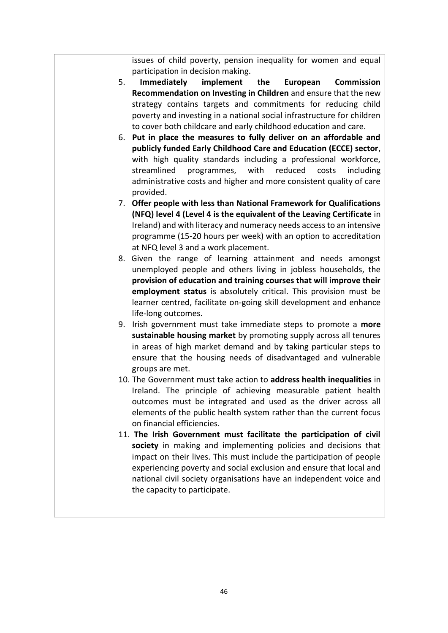issues of child poverty, pension inequality for women and equal participation in decision making.

- 5. **Immediately implement the European Commission Recommendation on Investing in Children** and ensure that the new strategy contains targets and commitments for reducing child poverty and investing in a national social infrastructure for children to cover both childcare and early childhood education and care.
- 6. **Put in place the measures to fully deliver on an affordable and publicly funded Early Childhood Care and Education (ECCE) sector**, with high quality standards including a professional workforce, streamlined programmes, with reduced costs including administrative costs and higher and more consistent quality of care provided.
- 7. **Offer people with less than National Framework for Qualifications (NFQ) level 4 (Level 4 is the equivalent of the Leaving Certificate** in Ireland) and with literacy and numeracy needs access to an intensive programme (15-20 hours per week) with an option to accreditation at NFQ level 3 and a work placement.
- 8. Given the range of learning attainment and needs amongst unemployed people and others living in jobless households, the **provision of education and training courses that will improve their employment status** is absolutely critical. This provision must be learner centred, facilitate on-going skill development and enhance life-long outcomes.
- 9. Irish government must take immediate steps to promote a **more sustainable housing market** by promoting supply across all tenures in areas of high market demand and by taking particular steps to ensure that the housing needs of disadvantaged and vulnerable groups are met.
- 10. The Government must take action to **address health inequalities** in Ireland. The principle of achieving measurable patient health outcomes must be integrated and used as the driver across all elements of the public health system rather than the current focus on financial efficiencies.
- 11. **The Irish Government must facilitate the participation of civil society** in making and implementing policies and decisions that impact on their lives. This must include the participation of people experiencing poverty and social exclusion and ensure that local and national civil society organisations have an independent voice and the capacity to participate.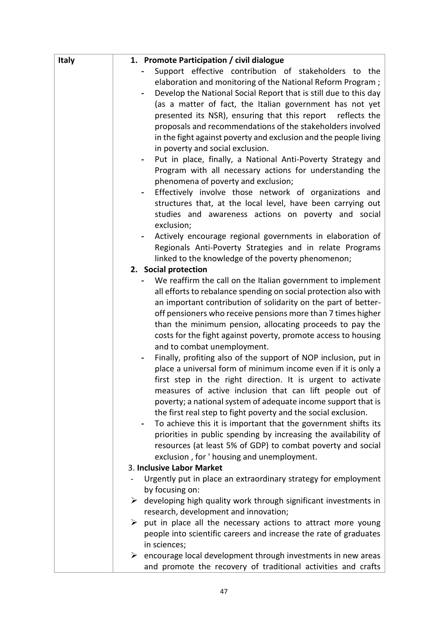| <b>Italy</b> | 1. Promote Participation / civil dialogue                                     |
|--------------|-------------------------------------------------------------------------------|
|              | Support effective contribution of stakeholders to the                         |
|              | elaboration and monitoring of the National Reform Program;                    |
|              | Develop the National Social Report that is still due to this day              |
|              | (as a matter of fact, the Italian government has not yet                      |
|              | presented its NSR), ensuring that this report<br>reflects the                 |
|              | proposals and recommendations of the stakeholders involved                    |
|              | in the fight against poverty and exclusion and the people living              |
|              | in poverty and social exclusion.                                              |
|              | Put in place, finally, a National Anti-Poverty Strategy and                   |
|              | Program with all necessary actions for understanding the                      |
|              | phenomena of poverty and exclusion;                                           |
|              | Effectively involve those network of organizations and                        |
|              | structures that, at the local level, have been carrying out                   |
|              | studies and awareness actions on poverty and social                           |
|              | exclusion;                                                                    |
|              | Actively encourage regional governments in elaboration of                     |
|              | Regionals Anti-Poverty Strategies and in relate Programs                      |
|              | linked to the knowledge of the poverty phenomenon;                            |
|              | 2. Social protection                                                          |
|              | We reaffirm the call on the Italian government to implement                   |
|              | all efforts to rebalance spending on social protection also with              |
|              | an important contribution of solidarity on the part of better-                |
|              | off pensioners who receive pensions more than 7 times higher                  |
|              | than the minimum pension, allocating proceeds to pay the                      |
|              | costs for the fight against poverty, promote access to housing                |
|              | and to combat unemployment.                                                   |
|              | Finally, profiting also of the support of NOP inclusion, put in               |
|              | place a universal form of minimum income even if it is only a                 |
|              | first step in the right direction. It is urgent to activate                   |
|              | measures of active inclusion that can lift people out of                      |
|              | poverty; a national system of adequate income support that is                 |
|              | the first real step to fight poverty and the social exclusion.                |
|              | To achieve this it is important that the government shifts its                |
|              | priorities in public spending by increasing the availability of               |
|              | resources (at least 5% of GDP) to combat poverty and social                   |
|              | exclusion, for 'housing and unemployment.                                     |
|              | 3. Inclusive Labor Market                                                     |
|              | Urgently put in place an extraordinary strategy for employment                |
|              | by focusing on:                                                               |
|              | developing high quality work through significant investments in<br>➤          |
|              | research, development and innovation;                                         |
|              | put in place all the necessary actions to attract more young<br>➤             |
|              | people into scientific careers and increase the rate of graduates             |
|              | in sciences;                                                                  |
|              | $\triangleright$ encourage local development through investments in new areas |
|              | and promote the recovery of traditional activities and crafts                 |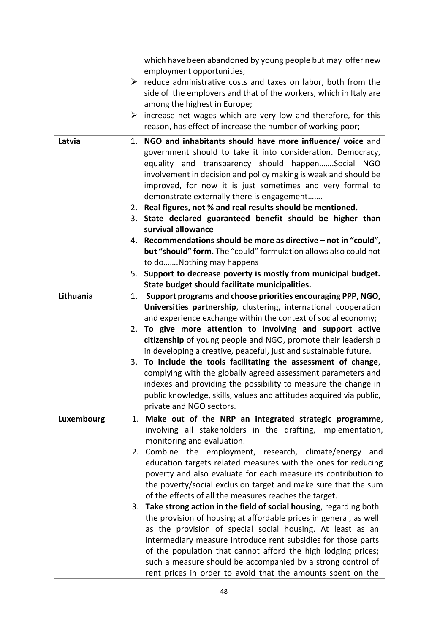|            | which have been abandoned by young people but may offer new<br>employment opportunities;                                                                                                                                                                                                                                                                                                                                                                                   |
|------------|----------------------------------------------------------------------------------------------------------------------------------------------------------------------------------------------------------------------------------------------------------------------------------------------------------------------------------------------------------------------------------------------------------------------------------------------------------------------------|
|            | $\triangleright$ reduce administrative costs and taxes on labor, both from the<br>side of the employers and that of the workers, which in Italy are<br>among the highest in Europe;                                                                                                                                                                                                                                                                                        |
|            | increase net wages which are very low and therefore, for this<br>➤<br>reason, has effect of increase the number of working poor;                                                                                                                                                                                                                                                                                                                                           |
| Latvia     | 1. NGO and inhabitants should have more influence/ voice and<br>government should to take it into consideration. Democracy,<br>equality and transparency should happenSocial<br><b>NGO</b><br>involvement in decision and policy making is weak and should be<br>improved, for now it is just sometimes and very formal to<br>demonstrate externally there is engagement<br>2. Real figures, not % and real results should be mentioned.                                   |
|            | 3. State declared guaranteed benefit should be higher than<br>survival allowance                                                                                                                                                                                                                                                                                                                                                                                           |
|            | 4. Recommendations should be more as directive – not in "could",<br>but "should" form. The "could" formulation allows also could not<br>to doNothing may happens                                                                                                                                                                                                                                                                                                           |
|            | Support to decrease poverty is mostly from municipal budget.<br>5.<br>State budget should facilitate municipalities.                                                                                                                                                                                                                                                                                                                                                       |
| Lithuania  | Support programs and choose priorities encouraging PPP, NGO,<br>1.<br>Universities partnership, clustering, international cooperation<br>and experience exchange within the context of social economy;                                                                                                                                                                                                                                                                     |
|            | 2. To give more attention to involving and support active<br>citizenship of young people and NGO, promote their leadership<br>in developing a creative, peaceful, just and sustainable future.                                                                                                                                                                                                                                                                             |
|            | To include the tools facilitating the assessment of change,<br>3.<br>complying with the globally agreed assessment parameters and<br>indexes and providing the possibility to measure the change in<br>public knowledge, skills, values and attitudes acquired via public,<br>private and NGO sectors.                                                                                                                                                                     |
| Luxembourg | Make out of the NRP an integrated strategic programme,<br>1.<br>involving all stakeholders in the drafting, implementation,<br>monitoring and evaluation.                                                                                                                                                                                                                                                                                                                  |
|            | 2. Combine the employment, research, climate/energy and<br>education targets related measures with the ones for reducing<br>poverty and also evaluate for each measure its contribution to<br>the poverty/social exclusion target and make sure that the sum<br>of the effects of all the measures reaches the target.                                                                                                                                                     |
|            | Take strong action in the field of social housing, regarding both<br>3.<br>the provision of housing at affordable prices in general, as well<br>as the provision of special social housing. At least as an<br>intermediary measure introduce rent subsidies for those parts<br>of the population that cannot afford the high lodging prices;<br>such a measure should be accompanied by a strong control of<br>rent prices in order to avoid that the amounts spent on the |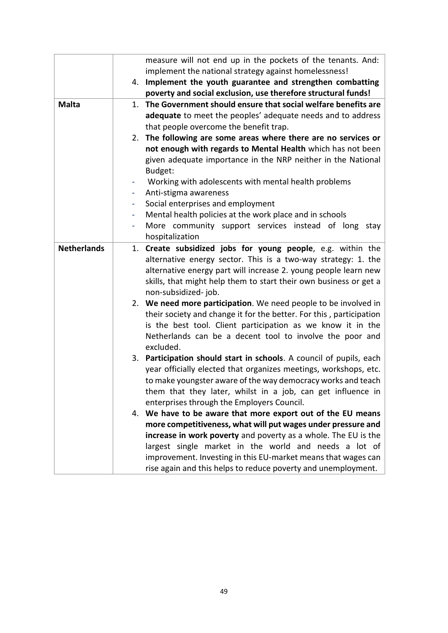|                    | measure will not end up in the pockets of the tenants. And:         |
|--------------------|---------------------------------------------------------------------|
|                    | implement the national strategy against homelessness!               |
|                    | 4. Implement the youth guarantee and strengthen combatting          |
|                    | poverty and social exclusion, use therefore structural funds!       |
| <b>Malta</b>       | The Government should ensure that social welfare benefits are<br>1. |
|                    | adequate to meet the peoples' adequate needs and to address         |
|                    | that people overcome the benefit trap.                              |
|                    | 2. The following are some areas where there are no services or      |
|                    | not enough with regards to Mental Health which has not been         |
|                    | given adequate importance in the NRP neither in the National        |
|                    | Budget:                                                             |
|                    | Working with adolescents with mental health problems<br>٠           |
|                    | Anti-stigma awareness                                               |
|                    | Social enterprises and employment<br>$\blacksquare$                 |
|                    | Mental health policies at the work place and in schools             |
|                    | More community support services instead of long stay<br>۰           |
|                    | hospitalization                                                     |
| <b>Netherlands</b> | Create subsidized jobs for young people, e.g. within the<br>1.      |
|                    | alternative energy sector. This is a two-way strategy: 1. the       |
|                    | alternative energy part will increase 2. young people learn new     |
|                    | skills, that might help them to start their own business or get a   |
|                    | non-subsidized-job.                                                 |
|                    | 2. We need more participation. We need people to be involved in     |
|                    | their society and change it for the better. For this, participation |
|                    | is the best tool. Client participation as we know it in the         |
|                    | Netherlands can be a decent tool to involve the poor and            |
|                    | excluded.                                                           |
|                    | 3. Participation should start in schools. A council of pupils, each |
|                    | year officially elected that organizes meetings, workshops, etc.    |
|                    | to make youngster aware of the way democracy works and teach        |
|                    | them that they later, whilst in a job, can get influence in         |
|                    | enterprises through the Employers Council.                          |
|                    | We have to be aware that more export out of the EU means<br>4.      |
|                    | more competitiveness, what will put wages under pressure and        |
|                    | increase in work poverty and poverty as a whole. The EU is the      |
|                    | largest single market in the world and needs a lot of               |
|                    | improvement. Investing in this EU-market means that wages can       |
|                    | rise again and this helps to reduce poverty and unemployment.       |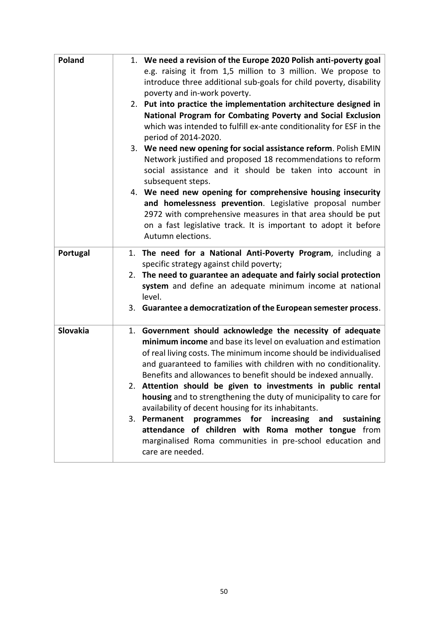| Poland   | 1. We need a revision of the Europe 2020 Polish anti-poverty goal<br>e.g. raising it from 1,5 million to 3 million. We propose to<br>introduce three additional sub-goals for child poverty, disability<br>poverty and in-work poverty.                                                                                                                                                                 |
|----------|---------------------------------------------------------------------------------------------------------------------------------------------------------------------------------------------------------------------------------------------------------------------------------------------------------------------------------------------------------------------------------------------------------|
|          | 2. Put into practice the implementation architecture designed in<br>National Program for Combating Poverty and Social Exclusion<br>which was intended to fulfill ex-ante conditionality for ESF in the<br>period of 2014-2020.                                                                                                                                                                          |
|          | 3. We need new opening for social assistance reform. Polish EMIN<br>Network justified and proposed 18 recommendations to reform<br>social assistance and it should be taken into account in<br>subsequent steps.                                                                                                                                                                                        |
|          | 4. We need new opening for comprehensive housing insecurity<br>and homelessness prevention. Legislative proposal number<br>2972 with comprehensive measures in that area should be put<br>on a fast legislative track. It is important to adopt it before<br>Autumn elections.                                                                                                                          |
| Portugal | 1. The need for a National Anti-Poverty Program, including a<br>specific strategy against child poverty;<br>2. The need to guarantee an adequate and fairly social protection<br>system and define an adequate minimum income at national<br>level.                                                                                                                                                     |
|          | 3. Guarantee a democratization of the European semester process.                                                                                                                                                                                                                                                                                                                                        |
| Slovakia | 1. Government should acknowledge the necessity of adequate<br>minimum income and base its level on evaluation and estimation<br>of real living costs. The minimum income should be individualised<br>and guaranteed to families with children with no conditionality.<br>Benefits and allowances to benefit should be indexed annually.<br>2. Attention should be given to investments in public rental |
|          | housing and to strengthening the duty of municipality to care for<br>availability of decent housing for its inhabitants.                                                                                                                                                                                                                                                                                |
|          | 3. Permanent<br>programmes for increasing and<br>sustaining<br>attendance of children with Roma mother tongue from<br>marginalised Roma communities in pre-school education and<br>care are needed.                                                                                                                                                                                                     |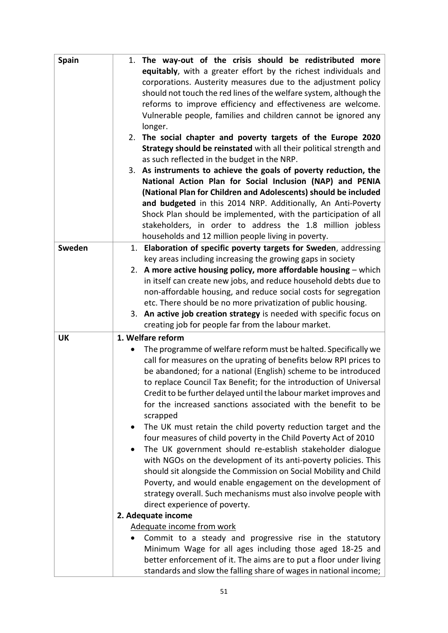| <b>Spain</b> | 1. The way-out of the crisis should be redistributed more           |
|--------------|---------------------------------------------------------------------|
|              | equitably, with a greater effort by the richest individuals and     |
|              | corporations. Austerity measures due to the adjustment policy       |
|              | should not touch the red lines of the welfare system, although the  |
|              | reforms to improve efficiency and effectiveness are welcome.        |
|              | Vulnerable people, families and children cannot be ignored any      |
|              | longer.                                                             |
|              | 2. The social chapter and poverty targets of the Europe 2020        |
|              | Strategy should be reinstated with all their political strength and |
|              | as such reflected in the budget in the NRP.                         |
|              | 3. As instruments to achieve the goals of poverty reduction, the    |
|              | National Action Plan for Social Inclusion (NAP) and PENIA           |
|              | (National Plan for Children and Adolescents) should be included     |
|              | and budgeted in this 2014 NRP. Additionally, An Anti-Poverty        |
|              | Shock Plan should be implemented, with the participation of all     |
|              |                                                                     |
|              | stakeholders, in order to address the 1.8 million jobless           |
|              | households and 12 million people living in poverty.                 |
| Sweden       | 1. Elaboration of specific poverty targets for Sweden, addressing   |
|              | key areas including increasing the growing gaps in society          |
|              | 2. A more active housing policy, more affordable housing - which    |
|              | in itself can create new jobs, and reduce household debts due to    |
|              | non-affordable housing, and reduce social costs for segregation     |
|              | etc. There should be no more privatization of public housing.       |
|              | 3. An active job creation strategy is needed with specific focus on |
|              | creating job for people far from the labour market.                 |
| <b>UK</b>    | 1. Welfare reform                                                   |
|              | The programme of welfare reform must be halted. Specifically we     |
|              | call for measures on the uprating of benefits below RPI prices to   |
|              | be abandoned; for a national (English) scheme to be introduced      |
|              | to replace Council Tax Benefit; for the introduction of Universal   |
|              | Credit to be further delayed until the labour market improves and   |
|              | for the increased sanctions associated with the benefit to be       |
|              | scrapped                                                            |
|              | The UK must retain the child poverty reduction target and the       |
|              | four measures of child poverty in the Child Poverty Act of 2010     |
|              | The UK government should re-establish stakeholder dialogue          |
|              | with NGOs on the development of its anti-poverty policies. This     |
|              | should sit alongside the Commission on Social Mobility and Child    |
|              | Poverty, and would enable engagement on the development of          |
|              | strategy overall. Such mechanisms must also involve people with     |
|              | direct experience of poverty.                                       |
|              | 2. Adequate income                                                  |
|              | Adequate income from work                                           |
|              | Commit to a steady and progressive rise in the statutory            |
|              | Minimum Wage for all ages including those aged 18-25 and            |
|              | better enforcement of it. The aims are to put a floor under living  |
|              | standards and slow the falling share of wages in national income;   |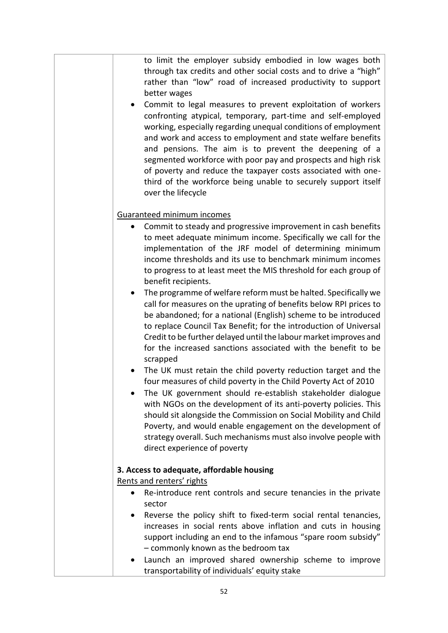to limit the employer subsidy embodied in low wages both through tax credits and other social costs and to drive a "high" rather than "low" road of increased productivity to support better wages

 Commit to legal measures to prevent exploitation of workers confronting atypical, temporary, part-time and self-employed working, especially regarding unequal conditions of employment and work and access to employment and state welfare benefits and pensions. The aim is to prevent the deepening of a segmented workforce with poor pay and prospects and high risk of poverty and reduce the taxpayer costs associated with onethird of the workforce being unable to securely support itself over the lifecycle

## Guaranteed minimum incomes

- Commit to steady and progressive improvement in cash benefits to meet adequate minimum income. Specifically we call for the implementation of the JRF model of determining minimum income thresholds and its use to benchmark minimum incomes to progress to at least meet the MIS threshold for each group of benefit recipients.
- The programme of welfare reform must be halted. Specifically we call for measures on the uprating of benefits below RPI prices to be abandoned; for a national (English) scheme to be introduced to replace Council Tax Benefit; for the introduction of Universal Credit to be further delayed until the labour market improves and for the increased sanctions associated with the benefit to be scrapped
- The UK must retain the child poverty reduction target and the four measures of child poverty in the Child Poverty Act of 2010
- The UK government should re-establish stakeholder dialogue with NGOs on the development of its anti-poverty policies. This should sit alongside the Commission on Social Mobility and Child Poverty, and would enable engagement on the development of strategy overall. Such mechanisms must also involve people with direct experience of poverty

## **3. Access to adequate, affordable housing**

Rents and renters' rights

- Re-introduce rent controls and secure tenancies in the private sector
- Reverse the policy shift to fixed-term social rental tenancies, increases in social rents above inflation and cuts in housing support including an end to the infamous "spare room subsidy" – commonly known as the bedroom tax
- Launch an improved shared ownership scheme to improve transportability of individuals' equity stake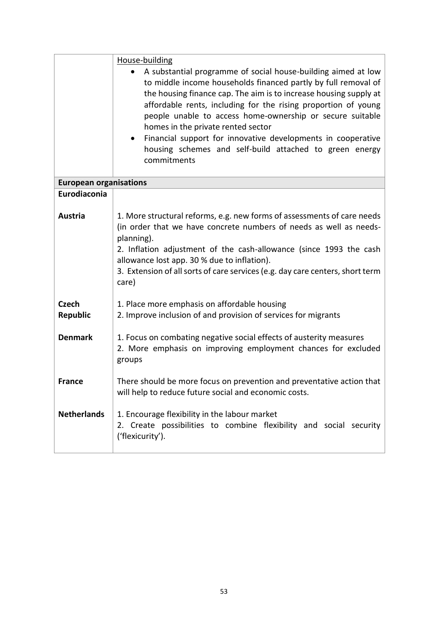|                               | House-building                                                                                                                                                                                                                                                                                                                                                                                                                                                                                                                   |
|-------------------------------|----------------------------------------------------------------------------------------------------------------------------------------------------------------------------------------------------------------------------------------------------------------------------------------------------------------------------------------------------------------------------------------------------------------------------------------------------------------------------------------------------------------------------------|
|                               | A substantial programme of social house-building aimed at low<br>to middle income households financed partly by full removal of<br>the housing finance cap. The aim is to increase housing supply at<br>affordable rents, including for the rising proportion of young<br>people unable to access home-ownership or secure suitable<br>homes in the private rented sector<br>Financial support for innovative developments in cooperative<br>$\bullet$<br>housing schemes and self-build attached to green energy<br>commitments |
| <b>European organisations</b> |                                                                                                                                                                                                                                                                                                                                                                                                                                                                                                                                  |
| Eurodiaconia                  |                                                                                                                                                                                                                                                                                                                                                                                                                                                                                                                                  |
| Austria                       | 1. More structural reforms, e.g. new forms of assessments of care needs<br>(in order that we have concrete numbers of needs as well as needs-<br>planning).<br>2. Inflation adjustment of the cash-allowance (since 1993 the cash<br>allowance lost app. 30 % due to inflation).<br>3. Extension of all sorts of care services (e.g. day care centers, short term<br>care)                                                                                                                                                       |
| <b>Czech</b><br>Republic      | 1. Place more emphasis on affordable housing<br>2. Improve inclusion of and provision of services for migrants                                                                                                                                                                                                                                                                                                                                                                                                                   |
| <b>Denmark</b>                | 1. Focus on combating negative social effects of austerity measures<br>2. More emphasis on improving employment chances for excluded<br>groups                                                                                                                                                                                                                                                                                                                                                                                   |
| <b>France</b>                 | There should be more focus on prevention and preventative action that<br>will help to reduce future social and economic costs.                                                                                                                                                                                                                                                                                                                                                                                                   |
| <b>Netherlands</b>            | 1. Encourage flexibility in the labour market<br>2. Create possibilities to combine flexibility and social security<br>('flexicurity').                                                                                                                                                                                                                                                                                                                                                                                          |